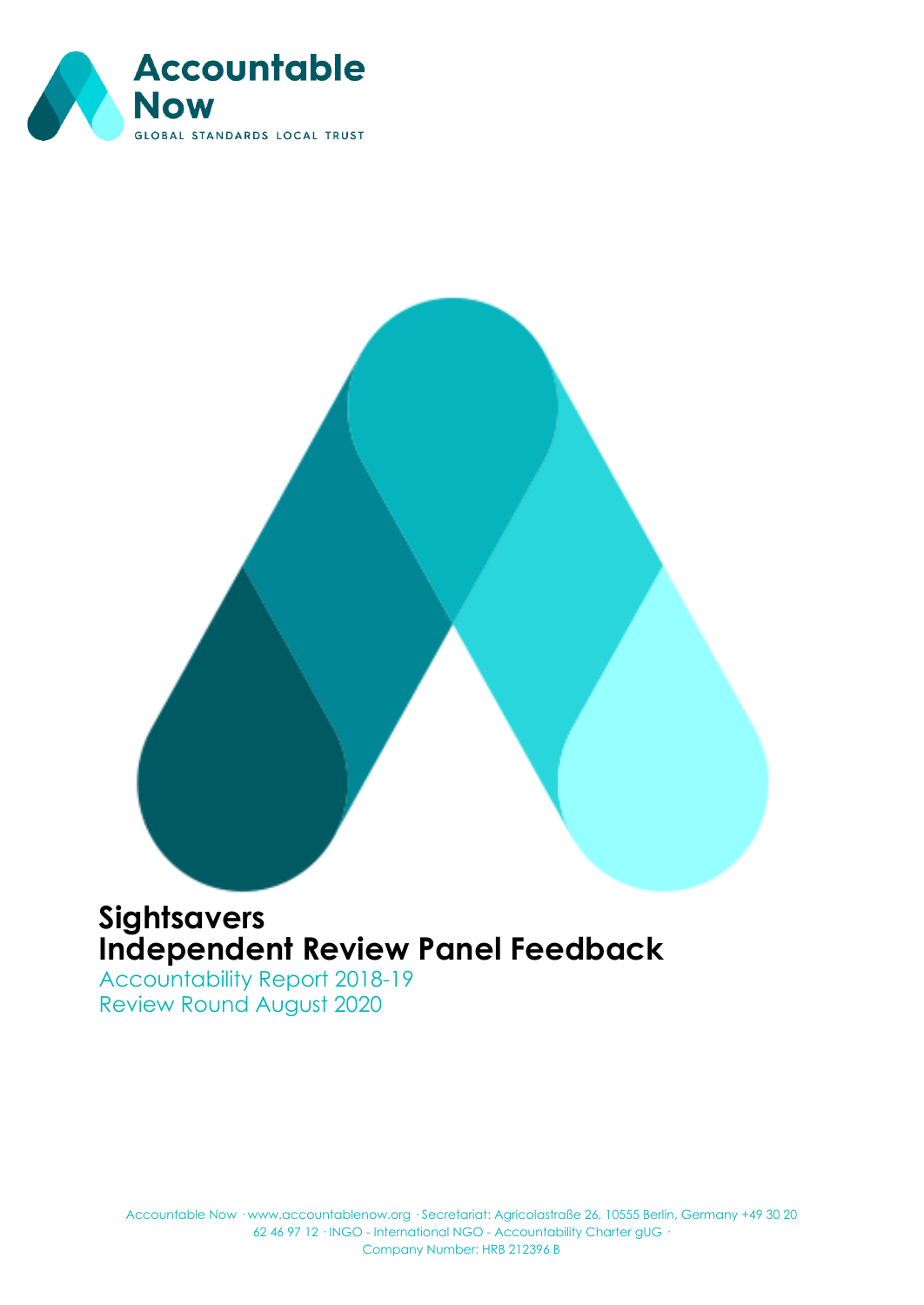

# **Sightsavers Independent Review Panel Feedback**

Accountability Report 2018-19 Review Round August 2020

Accountable Now · www.accountablenow.org · Secretariat: Agricolastraße 26, 10555 Berlin, Germany +49 30 20 62 46 97 12 · INGO - International NGO - Accountability Charter gUG · Company Number: HRB 212396 B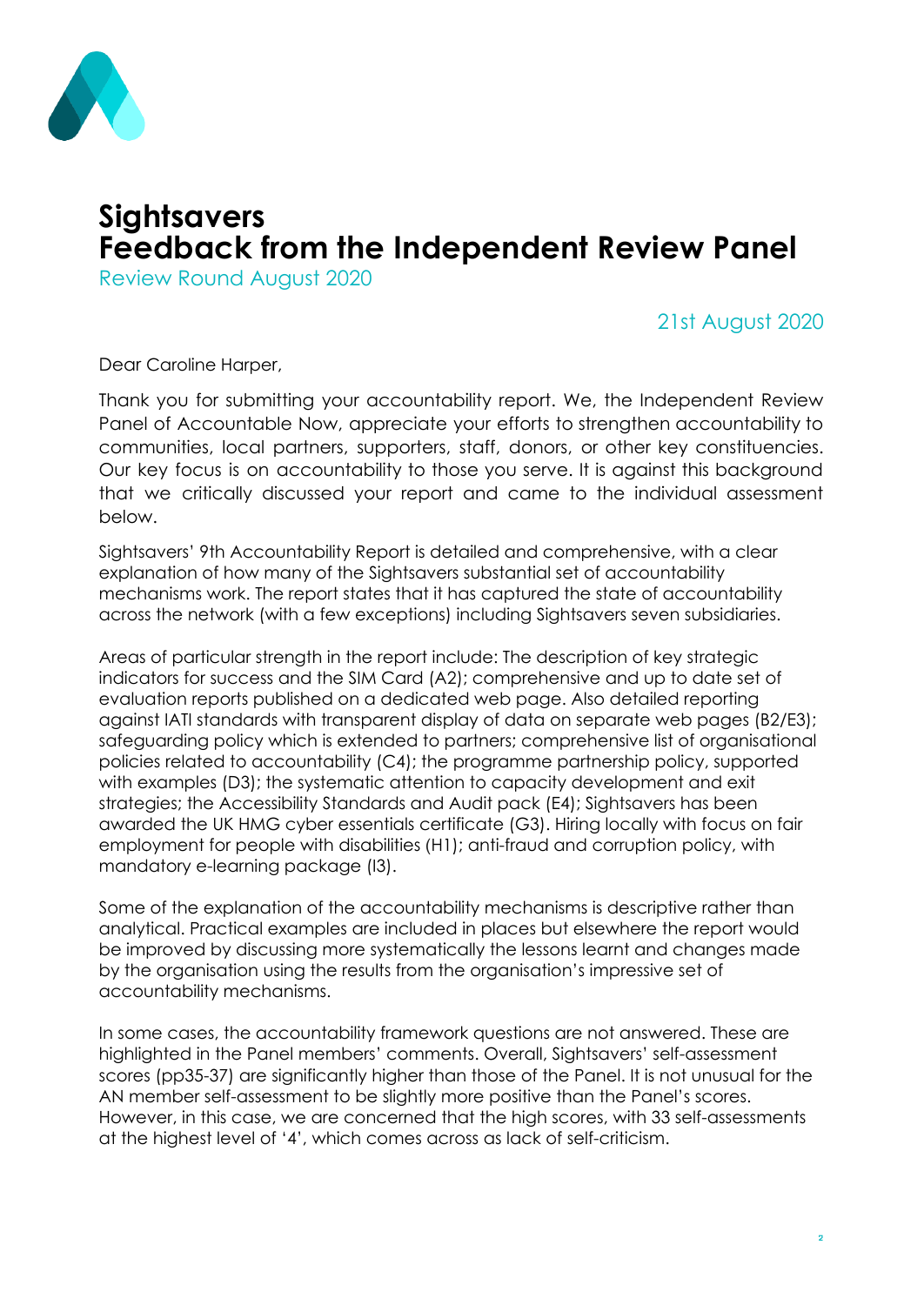

### **Sightsavers Feedback from the Independent Review Panel**

Review Round August 2020

#### 21st August 2020

Dear Caroline Harper,

Thank you for submitting your accountability report. We, the Independent Review Panel of Accountable Now, appreciate your efforts to strengthen accountability to communities, local partners, supporters, staff, donors, or other key constituencies. Our key focus is on accountability to those you serve. It is against this background that we critically discussed your report and came to the individual assessment below.

Sightsavers' 9th Accountability Report is detailed and comprehensive, with a clear explanation of how many of the Sightsavers substantial set of accountability mechanisms work. The report states that it has captured the state of accountability across the network (with a few exceptions) including Sightsavers seven subsidiaries.

Areas of particular strength in the report include: The description of key strategic indicators for success and the SIM Card (A2); comprehensive and up to date set of evaluation reports published on a dedicated web page. Also detailed reporting against IATI standards with transparent display of data on separate web pages (B2/E3); safeguarding policy which is extended to partners; comprehensive list of organisational policies related to accountability (C4); the programme partnership policy, supported with examples (D3); the systematic attention to capacity development and exit strategies; the Accessibility Standards and Audit pack (E4); Sightsavers has been awarded the UK HMG cyber essentials certificate (G3). Hiring locally with focus on fair employment for people with disabilities (H1); anti-fraud and corruption policy, with mandatory e-learning package (I3).

Some of the explanation of the accountability mechanisms is descriptive rather than analytical. Practical examples are included in places but elsewhere the report would be improved by discussing more systematically the lessons learnt and changes made by the organisation using the results from the organisation's impressive set of accountability mechanisms.

In some cases, the accountability framework questions are not answered. These are highlighted in the Panel members' comments. Overall, Sightsavers' self-assessment scores (pp35-37) are significantly higher than those of the Panel. It is not unusual for the AN member self-assessment to be slightly more positive than the Panel's scores. However, in this case, we are concerned that the high scores, with 33 self-assessments at the highest level of '4', which comes across as lack of self-criticism.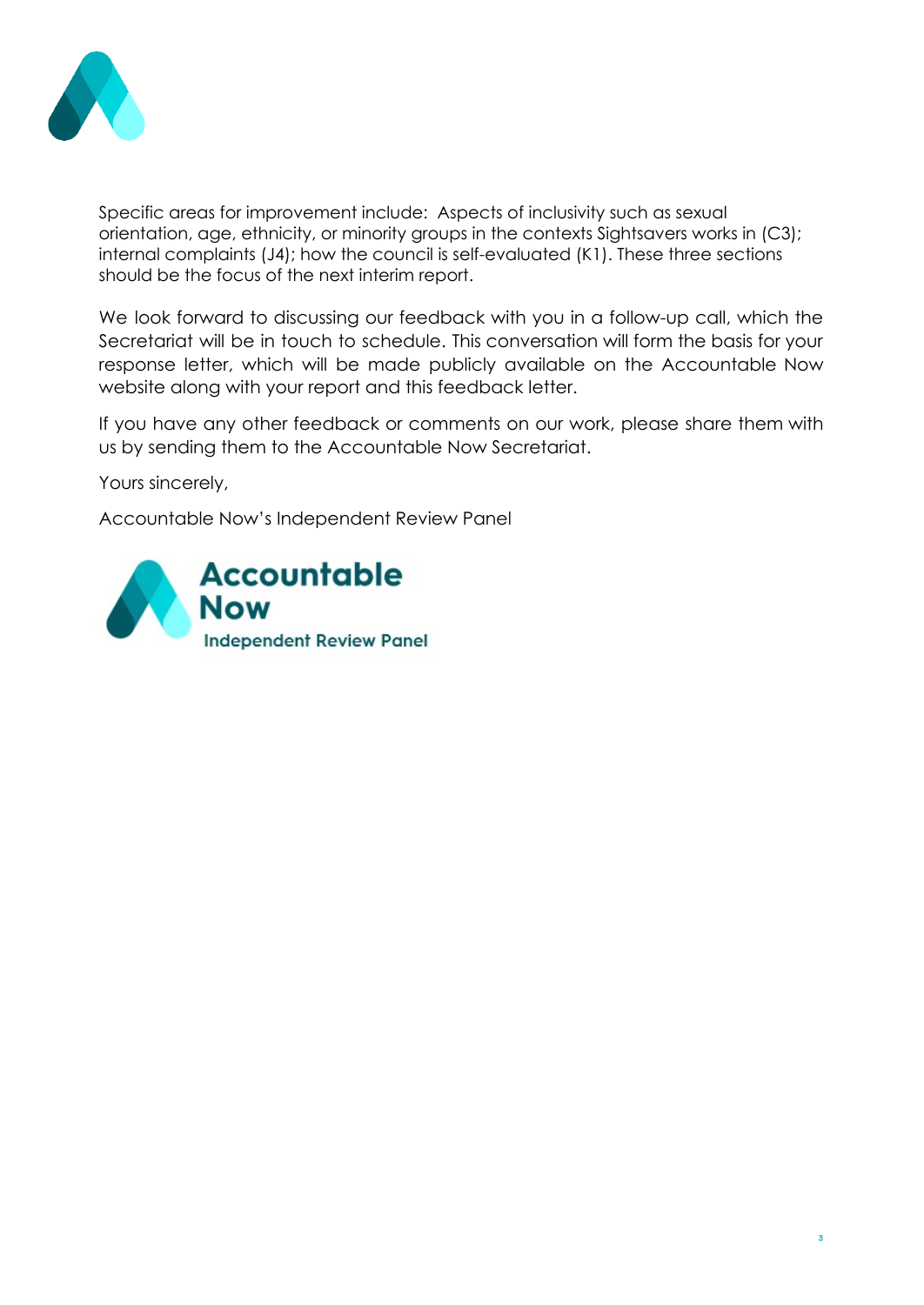

Specific areas for improvement include: Aspects of inclusivity such as sexual orientation, age, ethnicity, or minority groups in the contexts Sightsavers works in (C3); internal complaints (J4); how the council is self-evaluated (K1). These three sections should be the focus of the next interim report.

We look forward to discussing our feedback with you in a follow-up call, which the Secretariat will be in touch to schedule. This conversation will form the basis for your response letter, which will be made publicly available on the Accountable Now website along with your report and this feedback letter.

If you have any other feedback or comments on our work, please share them with us by sending them to the Accountable Now Secretariat.

Yours sincerely,

Accountable Now's Independent Review Panel

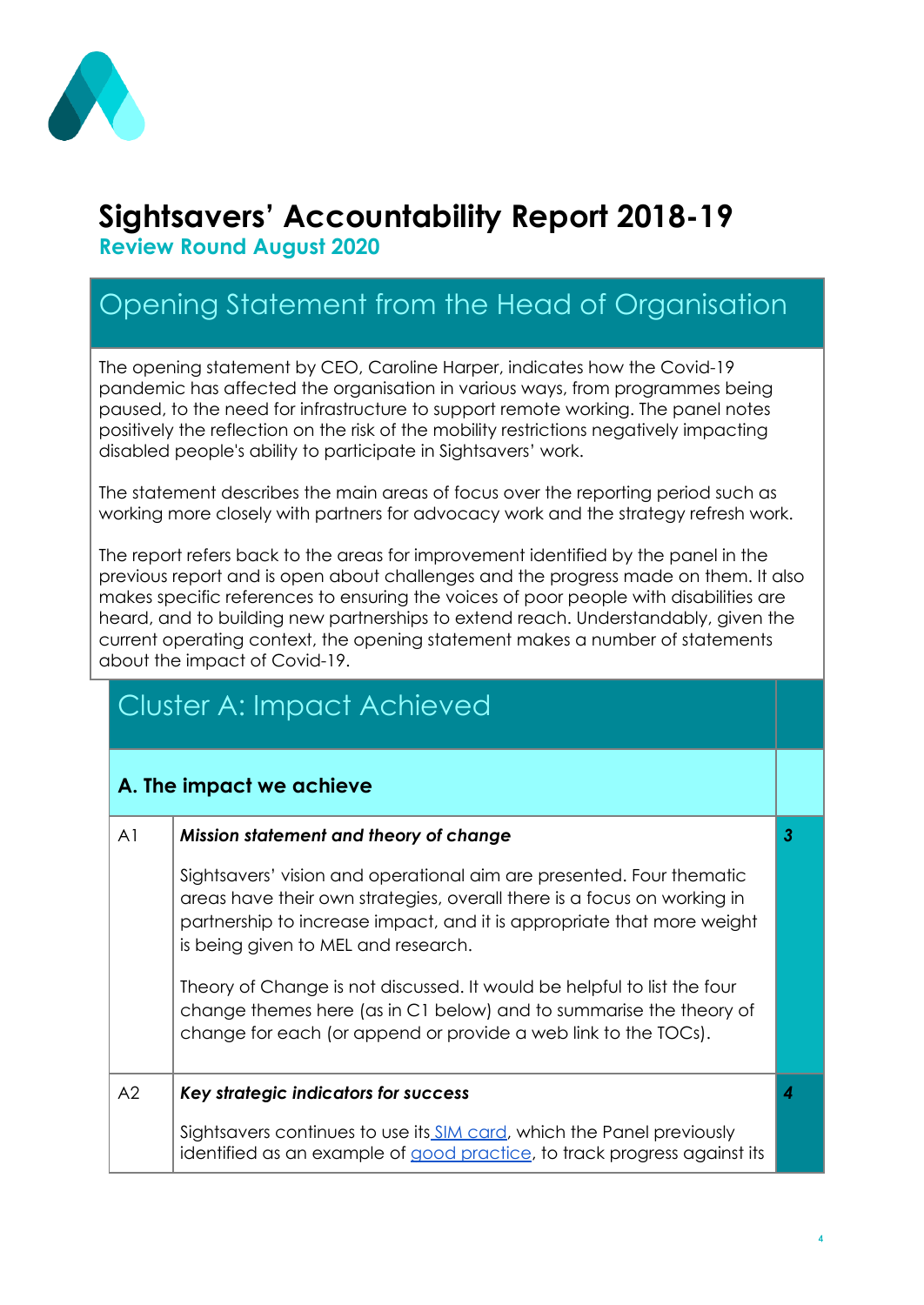

# **Sightsavers' Accountability Report 2018-19**

**Review Round August 2020**

## Opening Statement from the Head of Organisation

The opening statement by CEO, Caroline Harper, indicates how the Covid-19 pandemic has affected the organisation in various ways, from programmes being paused, to the need for infrastructure to support remote working. The panel notes positively the reflection on the risk of the mobility restrictions negatively impacting disabled people's ability to participate in Sightsavers' work.

The statement describes the main areas of focus over the reporting period such as working more closely with partners for advocacy work and the strategy refresh work.

The report refers back to the areas for improvement identified by the panel in the previous report and is open about challenges and the progress made on them. It also makes specific references to ensuring the voices of poor people with disabilities are heard, and to building new partnerships to extend reach. Understandably, given the current operating context, the opening statement makes a number of statements about the impact of Covid-19.

# Cluster A: Impact Achieved

#### **A. The impact we achieve**

| A <sub>1</sub> | Mission statement and theory of change                                                                                                                                                                                                                           | 3 |
|----------------|------------------------------------------------------------------------------------------------------------------------------------------------------------------------------------------------------------------------------------------------------------------|---|
|                | Sightsavers' vision and operational aim are presented. Four thematic<br>areas have their own strategies, overall there is a focus on working in<br>partnership to increase impact, and it is appropriate that more weight<br>is being given to MEL and research. |   |
|                | Theory of Change is not discussed. It would be helpful to list the four<br>change themes here (as in C1 below) and to summarise the theory of<br>change for each (or append or provide a web link to the TOCs).                                                  |   |
| A2             | Key strategic indicators for success                                                                                                                                                                                                                             |   |
|                | Sightsavers continues to use its SIM card, which the Panel previously<br>identified as an example of good practice, to track progress against its                                                                                                                |   |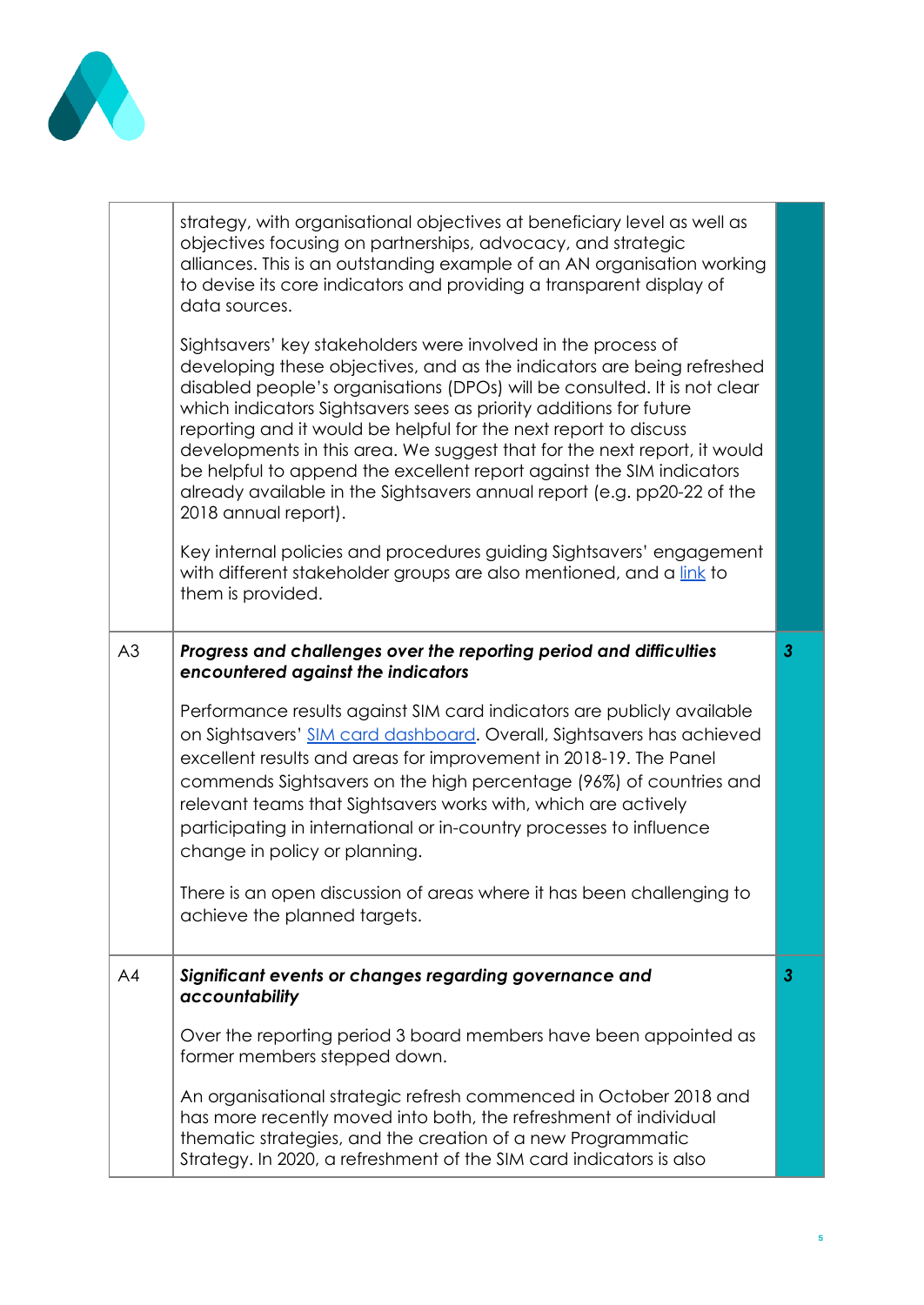

|    | strategy, with organisational objectives at beneficiary level as well as<br>objectives focusing on partnerships, advocacy, and strategic<br>alliances. This is an outstanding example of an AN organisation working<br>to devise its core indicators and providing a transparent display of<br>data sources.                                                                                                                                                                                                                                                                                                          |                |
|----|-----------------------------------------------------------------------------------------------------------------------------------------------------------------------------------------------------------------------------------------------------------------------------------------------------------------------------------------------------------------------------------------------------------------------------------------------------------------------------------------------------------------------------------------------------------------------------------------------------------------------|----------------|
|    | Sightsavers' key stakeholders were involved in the process of<br>developing these objectives, and as the indicators are being refreshed<br>disabled people's organisations (DPOs) will be consulted. It is not clear<br>which indicators Sightsavers sees as priority additions for future<br>reporting and it would be helpful for the next report to discuss<br>developments in this area. We suggest that for the next report, it would<br>be helpful to append the excellent report against the SIM indicators<br>already available in the Sightsavers annual report (e.g. pp20-22 of the<br>2018 annual report). |                |
|    | Key internal policies and procedures guiding Sightsavers' engagement<br>with different stakeholder groups are also mentioned, and a link to<br>them is provided.                                                                                                                                                                                                                                                                                                                                                                                                                                                      |                |
| A3 | Progress and challenges over the reporting period and difficulties<br>encountered against the indicators                                                                                                                                                                                                                                                                                                                                                                                                                                                                                                              | $\mathbf{3}$   |
|    | Performance results against SIM card indicators are publicly available<br>on Sightsavers' SIM card dashboard. Overall, Sightsavers has achieved<br>excellent results and areas for improvement in 2018-19. The Panel<br>commends Sightsavers on the high percentage (96%) of countries and<br>relevant teams that Sightsavers works with, which are actively<br>participating in international or in-country processes to influence<br>change in policy or planning.                                                                                                                                                  |                |
|    | There is an open discussion of areas where it has been challenging to<br>achieve the planned targets.                                                                                                                                                                                                                                                                                                                                                                                                                                                                                                                 |                |
| A4 | Significant events or changes regarding governance and<br>accountability                                                                                                                                                                                                                                                                                                                                                                                                                                                                                                                                              | $\overline{3}$ |
|    | Over the reporting period 3 board members have been appointed as<br>former members stepped down.                                                                                                                                                                                                                                                                                                                                                                                                                                                                                                                      |                |
|    | An organisational strategic refresh commenced in October 2018 and<br>has more recently moved into both, the refreshment of individual<br>thematic strategies, and the creation of a new Programmatic<br>Strategy. In 2020, a refreshment of the SIM card indicators is also                                                                                                                                                                                                                                                                                                                                           |                |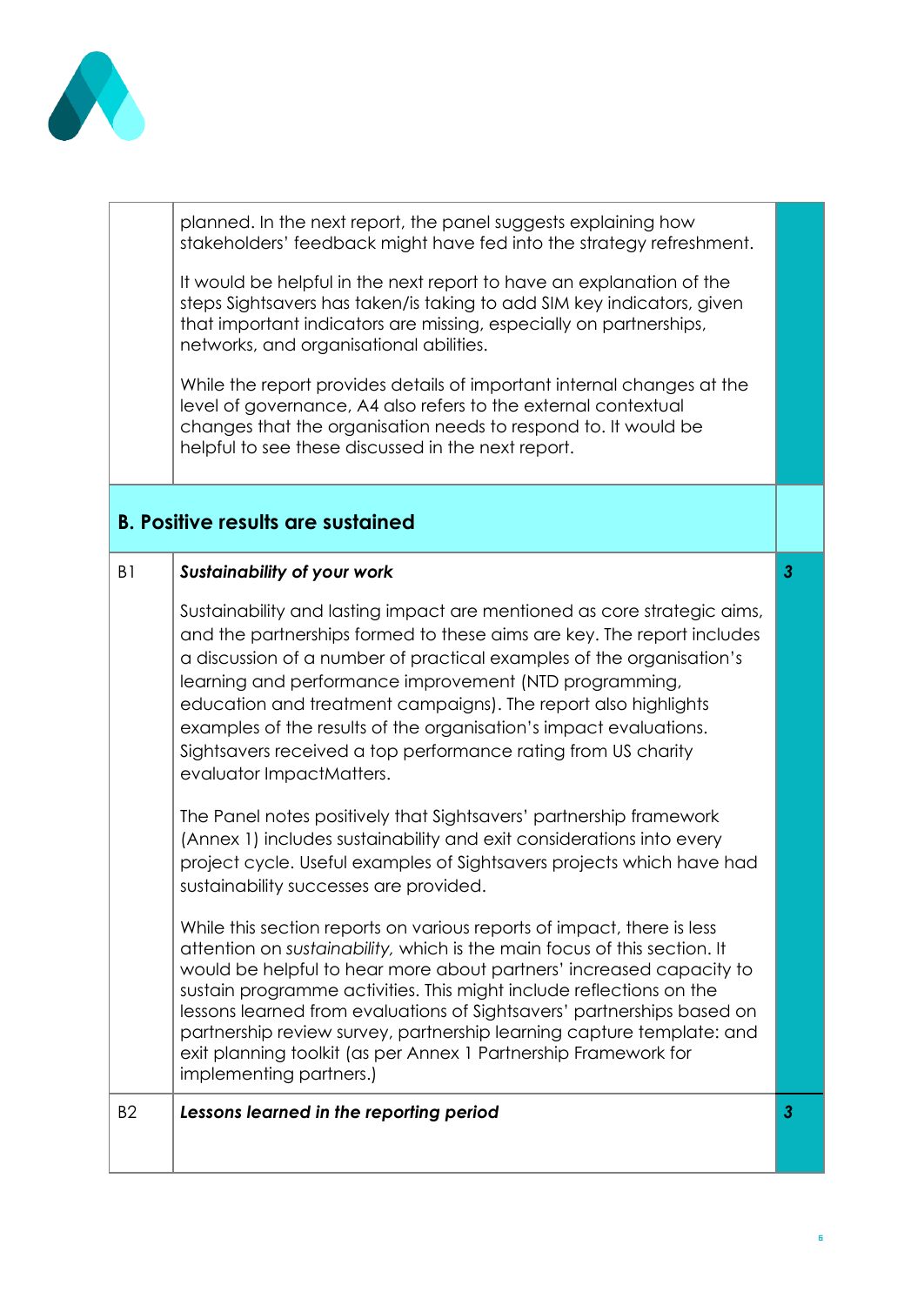

|                | planned. In the next report, the panel suggests explaining how<br>stakeholders' feedback might have fed into the strategy refreshment.                                                                                                                                                                                                                                                                                                                                                                                                            |              |
|----------------|---------------------------------------------------------------------------------------------------------------------------------------------------------------------------------------------------------------------------------------------------------------------------------------------------------------------------------------------------------------------------------------------------------------------------------------------------------------------------------------------------------------------------------------------------|--------------|
|                | It would be helpful in the next report to have an explanation of the<br>steps Sightsavers has taken/is taking to add SIM key indicators, given<br>that important indicators are missing, especially on partnerships,<br>networks, and organisational abilities.                                                                                                                                                                                                                                                                                   |              |
|                | While the report provides details of important internal changes at the<br>level of governance, A4 also refers to the external contextual<br>changes that the organisation needs to respond to. It would be<br>helpful to see these discussed in the next report.                                                                                                                                                                                                                                                                                  |              |
|                | <b>B. Positive results are sustained</b>                                                                                                                                                                                                                                                                                                                                                                                                                                                                                                          |              |
| B <sub>1</sub> | <b>Sustainability of your work</b>                                                                                                                                                                                                                                                                                                                                                                                                                                                                                                                | $\mathbf{3}$ |
|                | Sustainability and lasting impact are mentioned as core strategic aims,<br>and the partnerships formed to these aims are key. The report includes<br>a discussion of a number of practical examples of the organisation's<br>learning and performance improvement (NTD programming,<br>education and treatment campaigns). The report also highlights<br>examples of the results of the organisation's impact evaluations.<br>Sightsavers received a top performance rating from US charity<br>evaluator ImpactMatters.                           |              |
|                | The Panel notes positively that Sightsavers' partnership framework<br>(Annex 1) includes sustainability and exit considerations into every<br>project cycle. Useful examples of Sightsavers projects which have had<br>sustainability successes are provided.                                                                                                                                                                                                                                                                                     |              |
|                | While this section reports on various reports of impact, there is less<br>attention on sustainability, which is the main focus of this section. It<br>would be helpful to hear more about partners' increased capacity to<br>sustain programme activities. This might include reflections on the<br>lessons learned from evaluations of Sightsavers' partnerships based on<br>partnership review survey, partnership learning capture template: and<br>exit planning toolkit (as per Annex 1 Partnership Framework for<br>implementing partners.) |              |
| <b>B2</b>      | Lessons learned in the reporting period                                                                                                                                                                                                                                                                                                                                                                                                                                                                                                           | $\mathbf{3}$ |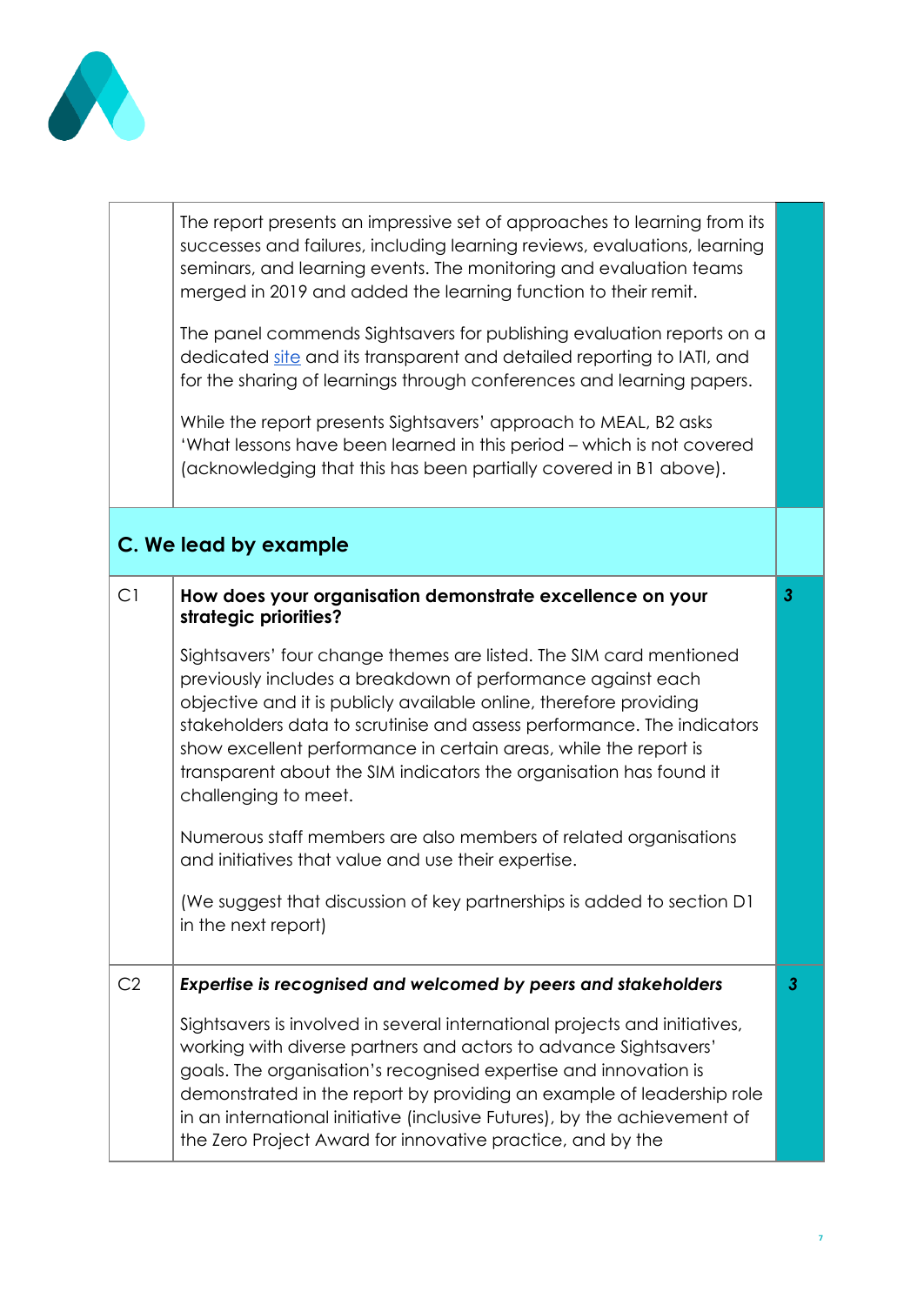

|    | The report presents an impressive set of approaches to learning from its                                                                                                                                                                                                                                                                                                                                                                            |   |
|----|-----------------------------------------------------------------------------------------------------------------------------------------------------------------------------------------------------------------------------------------------------------------------------------------------------------------------------------------------------------------------------------------------------------------------------------------------------|---|
|    | successes and failures, including learning reviews, evaluations, learning<br>seminars, and learning events. The monitoring and evaluation teams<br>merged in 2019 and added the learning function to their remit.                                                                                                                                                                                                                                   |   |
|    | The panel commends Sightsavers for publishing evaluation reports on a<br>dedicated site and its transparent and detailed reporting to IATI, and<br>for the sharing of learnings through conferences and learning papers.                                                                                                                                                                                                                            |   |
|    | While the report presents Sightsavers' approach to MEAL, B2 asks<br>'What lessons have been learned in this period – which is not covered<br>(acknowledging that this has been partially covered in B1 above).                                                                                                                                                                                                                                      |   |
|    | C. We lead by example                                                                                                                                                                                                                                                                                                                                                                                                                               |   |
| C1 | How does your organisation demonstrate excellence on your<br>strategic priorities?                                                                                                                                                                                                                                                                                                                                                                  | 3 |
|    | Sightsavers' four change themes are listed. The SIM card mentioned<br>previously includes a breakdown of performance against each<br>objective and it is publicly available online, therefore providing<br>stakeholders data to scrutinise and assess performance. The indicators<br>show excellent performance in certain areas, while the report is<br>transparent about the SIM indicators the organisation has found it<br>challenging to meet. |   |
|    | Numerous staff members are also members of related organisations<br>and initiatives that value and use their expertise.                                                                                                                                                                                                                                                                                                                             |   |
|    | (We suggest that discussion of key partnerships is added to section D1<br>in the next report)                                                                                                                                                                                                                                                                                                                                                       |   |
| C2 | Expertise is recognised and welcomed by peers and stakeholders                                                                                                                                                                                                                                                                                                                                                                                      | 3 |
|    | Sightsavers is involved in several international projects and initiatives,<br>working with diverse partners and actors to advance Sightsavers'<br>goals. The organisation's recognised expertise and innovation is<br>demonstrated in the report by providing an example of leadership role<br>in an international initiative (inclusive Futures), by the achievement of<br>the Zero Project Award for innovative practice, and by the              |   |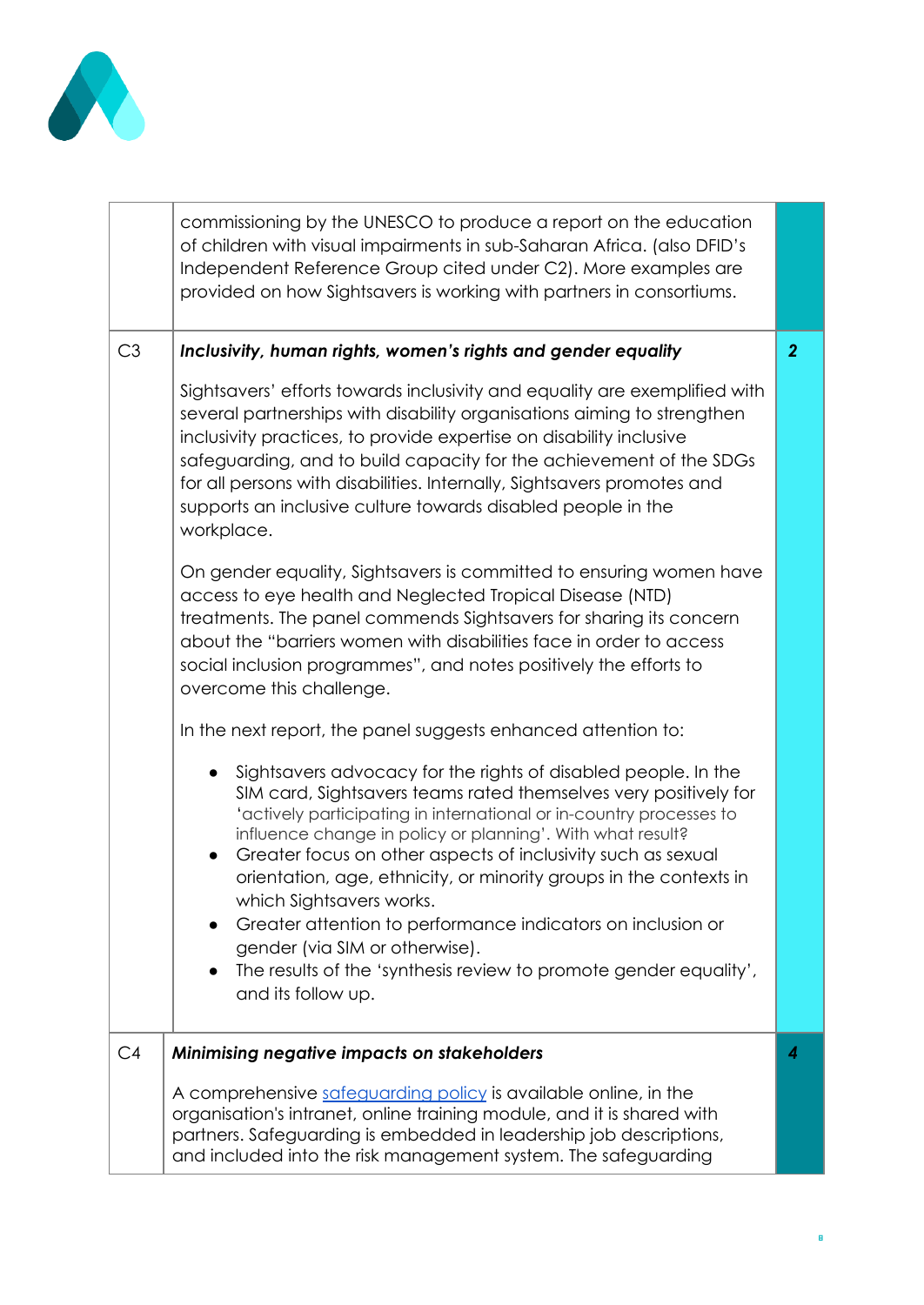

|    | commissioning by the UNESCO to produce a report on the education<br>of children with visual impairments in sub-Saharan Africa. (also DFID's<br>Independent Reference Group cited under C2). More examples are<br>provided on how Sightsavers is working with partners in consortiums.                                                                                                                                                                                                                                                                                                                                                                                                                                                                      |                |
|----|------------------------------------------------------------------------------------------------------------------------------------------------------------------------------------------------------------------------------------------------------------------------------------------------------------------------------------------------------------------------------------------------------------------------------------------------------------------------------------------------------------------------------------------------------------------------------------------------------------------------------------------------------------------------------------------------------------------------------------------------------------|----------------|
| C3 | Inclusivity, human rights, women's rights and gender equality<br>Sightsavers' efforts towards inclusivity and equality are exemplified with<br>several partnerships with disability organisations aiming to strengthen<br>inclusivity practices, to provide expertise on disability inclusive<br>safeguarding, and to build capacity for the achievement of the SDGs<br>for all persons with disabilities. Internally, Sightsavers promotes and                                                                                                                                                                                                                                                                                                            | $\overline{2}$ |
|    | supports an inclusive culture towards disabled people in the<br>workplace.<br>On gender equality, Sightsavers is committed to ensuring women have<br>access to eye health and Neglected Tropical Disease (NTD)<br>treatments. The panel commends Sightsavers for sharing its concern<br>about the "barriers women with disabilities face in order to access<br>social inclusion programmes", and notes positively the efforts to<br>overcome this challenge.                                                                                                                                                                                                                                                                                               |                |
|    | In the next report, the panel suggests enhanced attention to:<br>Sightsavers advocacy for the rights of disabled people. In the<br>$\bullet$<br>SIM card, Sightsavers teams rated themselves very positively for<br>'actively participating in international or in-country processes to<br>influence change in policy or planning'. With what result?<br>Greater focus on other aspects of inclusivity such as sexual<br>$\bullet$<br>orientation, age, ethnicity, or minority groups in the contexts in<br>which Sightsavers works.<br>Greater attention to performance indicators on inclusion or<br>$\bullet$<br>gender (via SIM or otherwise).<br>The results of the 'synthesis review to promote gender equality',<br>$\bullet$<br>and its follow up. |                |
| C4 | Minimising negative impacts on stakeholders<br>A comprehensive safeguarding policy is available online, in the<br>organisation's intranet, online training module, and it is shared with<br>partners. Safeguarding is embedded in leadership job descriptions,<br>and included into the risk management system. The safeguarding                                                                                                                                                                                                                                                                                                                                                                                                                           | 4              |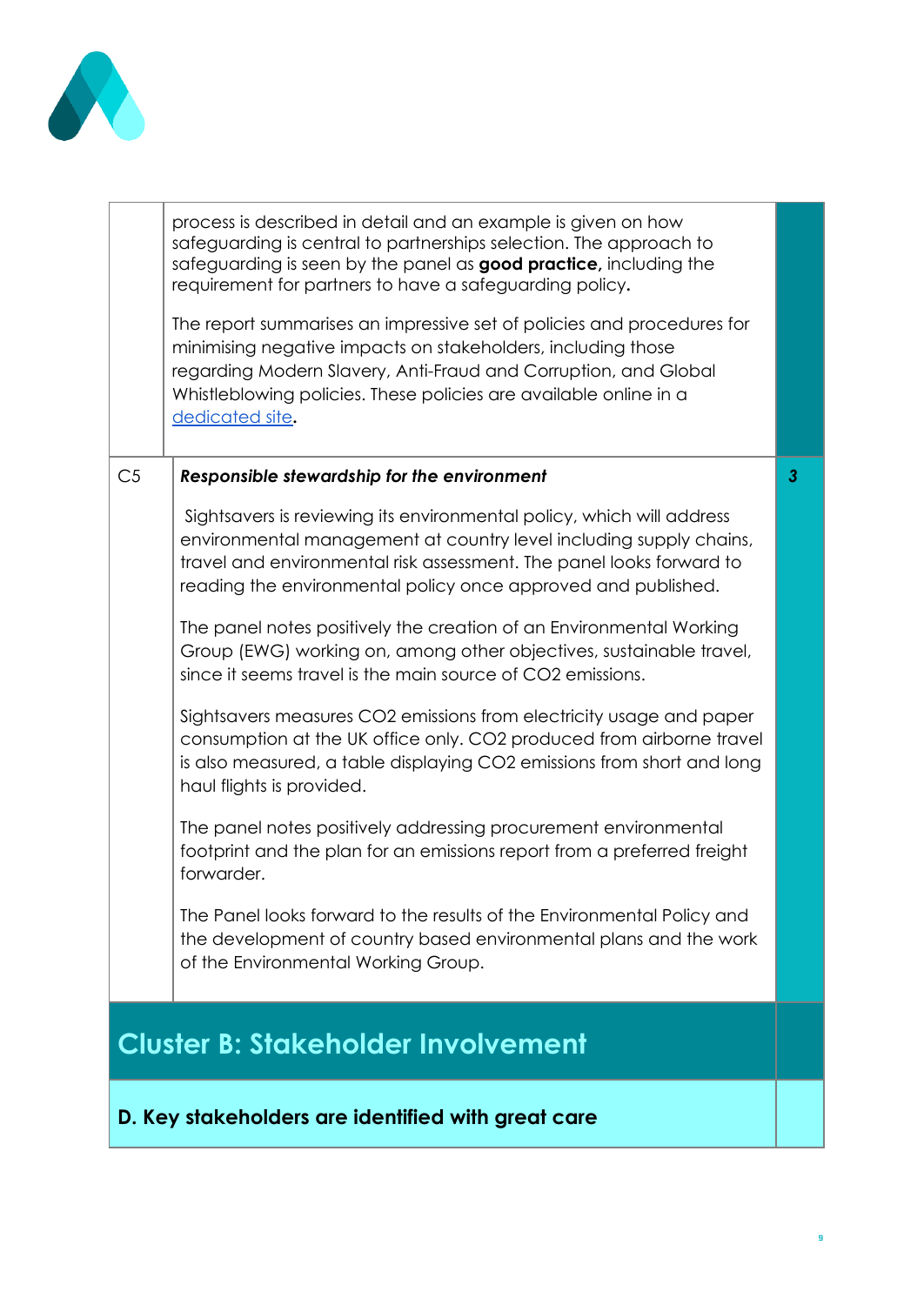

|                | process is described in detail and an example is given on how<br>safeguarding is central to partnerships selection. The approach to<br>safeguarding is seen by the panel as good practice, including the<br>requirement for partners to have a safeguarding policy.                               |              |
|----------------|---------------------------------------------------------------------------------------------------------------------------------------------------------------------------------------------------------------------------------------------------------------------------------------------------|--------------|
|                | The report summarises an impressive set of policies and procedures for<br>minimising negative impacts on stakeholders, including those<br>regarding Modern Slavery, Anti-Fraud and Corruption, and Global<br>Whistleblowing policies. These policies are available online in a<br>dedicated site. |              |
| C <sub>5</sub> | <b>Responsible stewardship for the environment</b>                                                                                                                                                                                                                                                | $\mathbf{3}$ |
|                | Sightsavers is reviewing its environmental policy, which will address<br>environmental management at country level including supply chains,<br>travel and environmental risk assessment. The panel looks forward to<br>reading the environmental policy once approved and published.              |              |
|                | The panel notes positively the creation of an Environmental Working<br>Group (EWG) working on, among other objectives, sustainable travel,<br>since it seems travel is the main source of CO2 emissions.                                                                                          |              |
|                | Sightsavers measures CO2 emissions from electricity usage and paper<br>consumption at the UK office only. CO2 produced from airborne travel<br>is also measured, a table displaying CO2 emissions from short and long<br>haul flights is provided.                                                |              |
|                | The panel notes positively addressing procurement environmental<br>footprint and the plan for an emissions report from a preferred freight<br>forwarder.                                                                                                                                          |              |
|                | The Panel looks forward to the results of the Environmental Policy and<br>the development of country based environmental plans and the work<br>of the Environmental Working Group.                                                                                                                |              |
|                | <b>Cluster B: Stakeholder Involvement</b>                                                                                                                                                                                                                                                         |              |
|                | D. Key stakeholders are identified with great care                                                                                                                                                                                                                                                |              |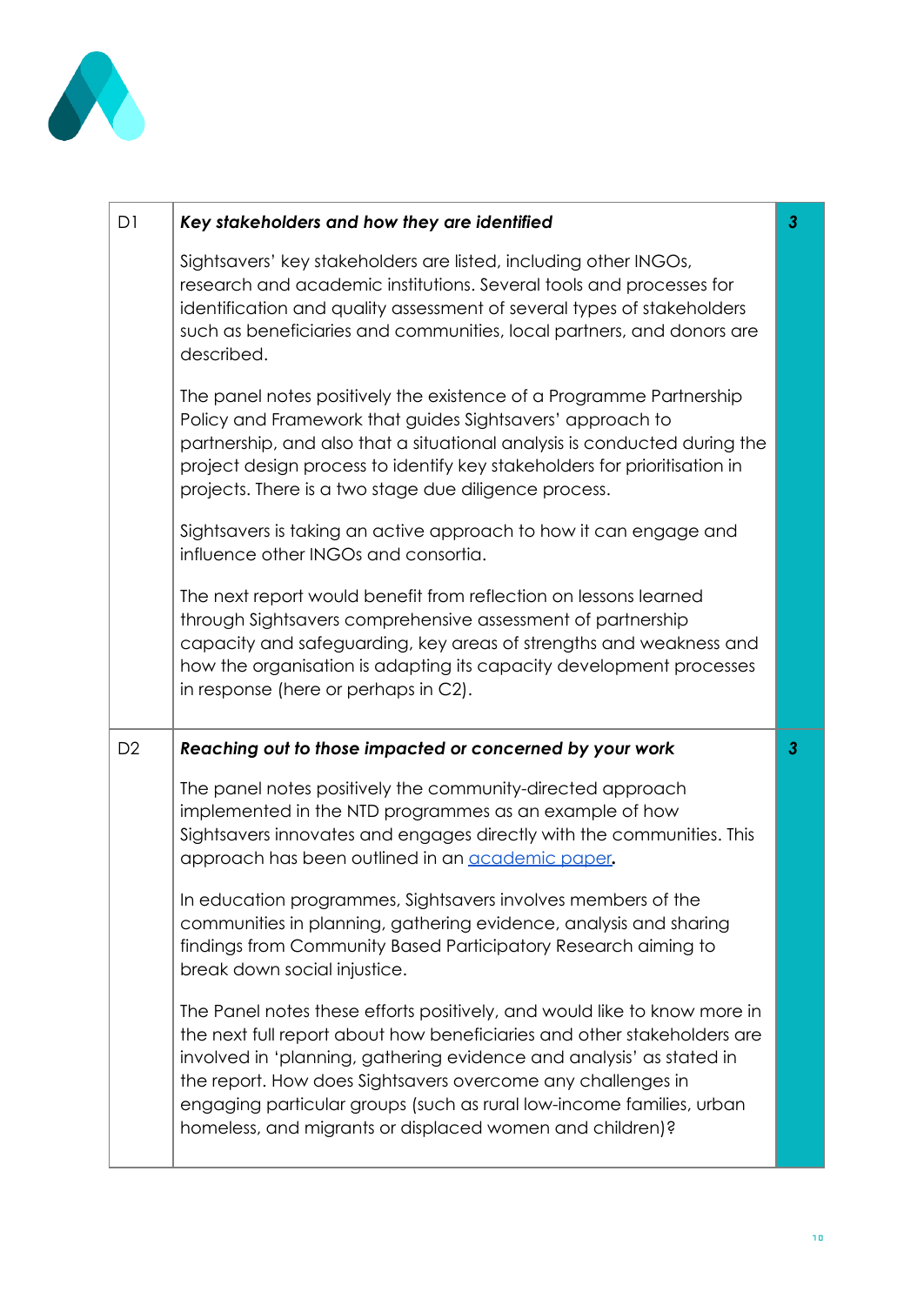

| D1             | Key stakeholders and how they are identified                                                                                                                                                                                                                                                                                                        | $\mathbf{3}$   |
|----------------|-----------------------------------------------------------------------------------------------------------------------------------------------------------------------------------------------------------------------------------------------------------------------------------------------------------------------------------------------------|----------------|
|                | Sightsavers' key stakeholders are listed, including other INGOs,<br>research and academic institutions. Several tools and processes for<br>identification and quality assessment of several types of stakeholders<br>such as beneficiaries and communities, local partners, and donors are<br>described.                                            |                |
|                | The panel notes positively the existence of a Programme Partnership<br>Policy and Framework that guides Sightsavers' approach to<br>partnership, and also that a situational analysis is conducted during the<br>project design process to identify key stakeholders for prioritisation in<br>projects. There is a two stage due diligence process. |                |
|                | Sightsavers is taking an active approach to how it can engage and<br>influence other INGOs and consortia.                                                                                                                                                                                                                                           |                |
|                | The next report would benefit from reflection on lessons learned<br>through Sightsavers comprehensive assessment of partnership<br>capacity and safeguarding, key areas of strengths and weakness and<br>how the organisation is adapting its capacity development processes<br>in response (here or perhaps in C2).                                |                |
|                |                                                                                                                                                                                                                                                                                                                                                     |                |
| D <sub>2</sub> | Reaching out to those impacted or concerned by your work                                                                                                                                                                                                                                                                                            | 3 <sup>2</sup> |
|                | The panel notes positively the community-directed approach<br>implemented in the NTD programmes as an example of how<br>Sightsavers innovates and engages directly with the communities. This<br>approach has been outlined in an academic paper.                                                                                                   |                |
|                | In education programmes, Sightsavers involves members of the<br>communities in planning, gathering evidence, analysis and sharing<br>findings from Community Based Participatory Research aiming to<br>break down social injustice.                                                                                                                 |                |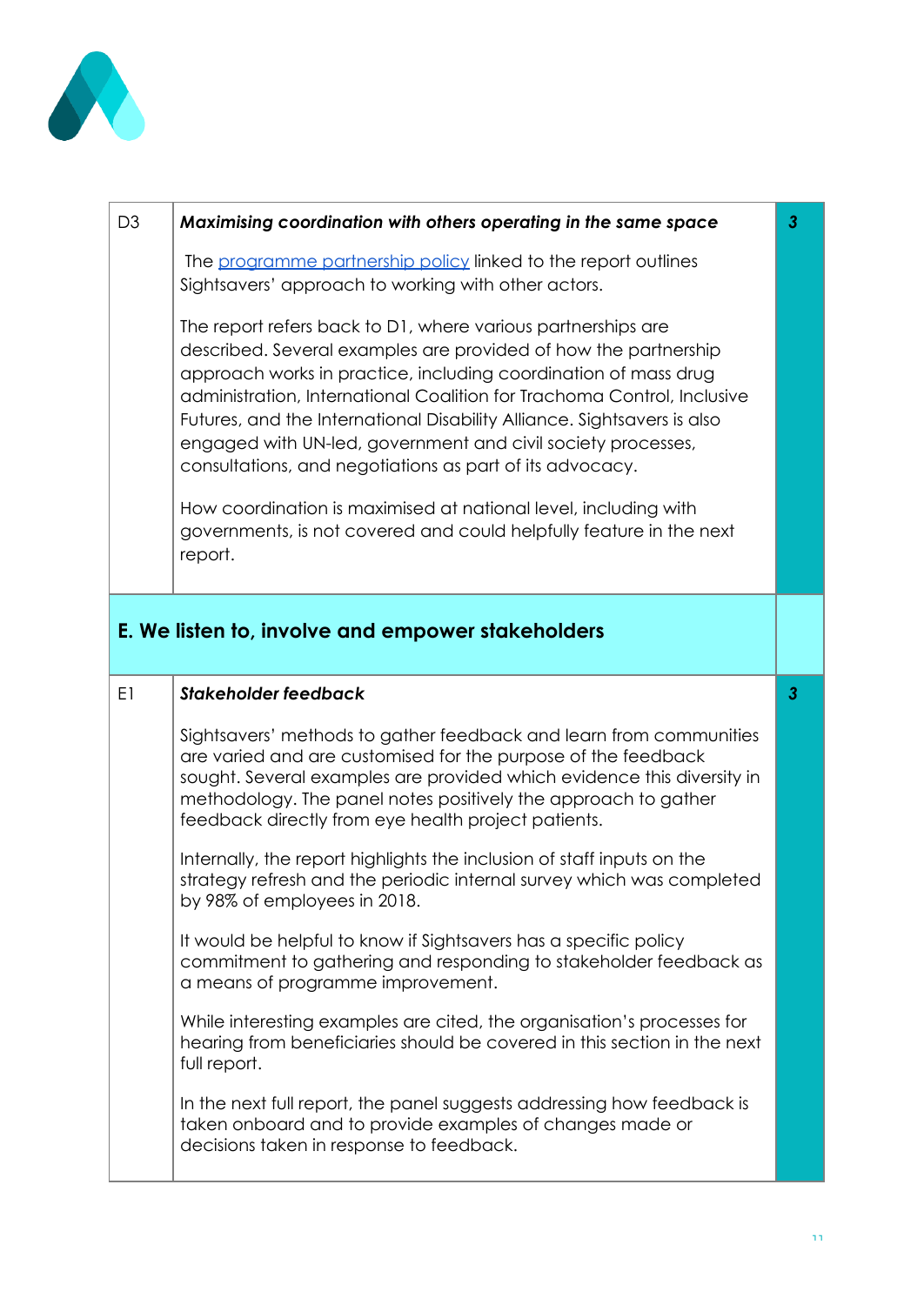

| D <sub>3</sub> | Maximising coordination with others operating in the same space                                                                                                                                                                                                                                                                                                                                                                                                                      | $\overline{3}$ |
|----------------|--------------------------------------------------------------------------------------------------------------------------------------------------------------------------------------------------------------------------------------------------------------------------------------------------------------------------------------------------------------------------------------------------------------------------------------------------------------------------------------|----------------|
|                | The programme partnership policy linked to the report outlines<br>Sightsavers' approach to working with other actors.                                                                                                                                                                                                                                                                                                                                                                |                |
|                | The report refers back to D1, where various partnerships are<br>described. Several examples are provided of how the partnership<br>approach works in practice, including coordination of mass drug<br>administration, International Coalition for Trachoma Control, Inclusive<br>Futures, and the International Disability Alliance. Sightsavers is also<br>engaged with UN-led, government and civil society processes,<br>consultations, and negotiations as part of its advocacy. |                |
|                | How coordination is maximised at national level, including with<br>governments, is not covered and could helpfully feature in the next<br>report.                                                                                                                                                                                                                                                                                                                                    |                |
|                | E. We listen to, involve and empower stakeholders                                                                                                                                                                                                                                                                                                                                                                                                                                    |                |
| E1             | <b>Stakeholder feedback</b>                                                                                                                                                                                                                                                                                                                                                                                                                                                          | $\mathbf{3}$   |
|                | Sightsavers' methods to gather feedback and learn from communities<br>are varied and are customised for the purpose of the feedback<br>sought. Several examples are provided which evidence this diversity in<br>methodology. The panel notes positively the approach to gather<br>feedback directly from eye health project patients.                                                                                                                                               |                |
|                | Internally, the report highlights the inclusion of staff inputs on the<br>strategy refresh and the periodic internal survey which was completed<br>by 98% of employees in 2018.                                                                                                                                                                                                                                                                                                      |                |
|                | It would be helpful to know if Sightsavers has a specific policy<br>commitment to gathering and responding to stakeholder feedback as<br>a means of programme improvement.                                                                                                                                                                                                                                                                                                           |                |
|                | While interesting examples are cited, the organisation's processes for<br>hearing from beneficiaries should be covered in this section in the next<br>full report.                                                                                                                                                                                                                                                                                                                   |                |
|                | In the next full report, the panel suggests addressing how feedback is                                                                                                                                                                                                                                                                                                                                                                                                               |                |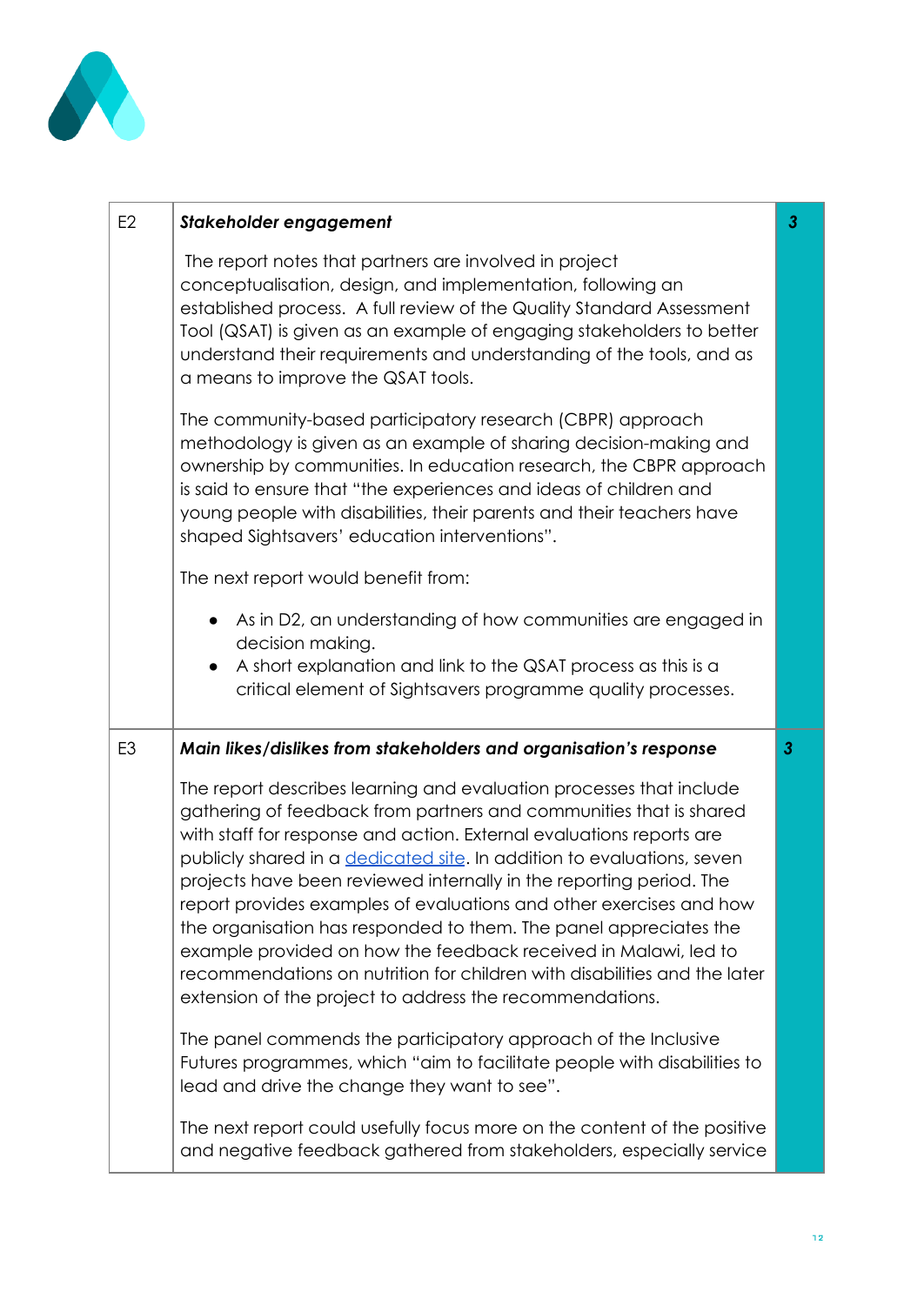

| E <sub>2</sub> | Stakeholder engagement                                                                                                                                                                                                                                                                                                                                                                                                                                                                                                                                                                                                                                                                                                             | $\mathbf{3}$   |
|----------------|------------------------------------------------------------------------------------------------------------------------------------------------------------------------------------------------------------------------------------------------------------------------------------------------------------------------------------------------------------------------------------------------------------------------------------------------------------------------------------------------------------------------------------------------------------------------------------------------------------------------------------------------------------------------------------------------------------------------------------|----------------|
|                | The report notes that partners are involved in project<br>conceptualisation, design, and implementation, following an<br>established process. A full review of the Quality Standard Assessment<br>Tool (QSAT) is given as an example of engaging stakeholders to better<br>understand their requirements and understanding of the tools, and as<br>a means to improve the QSAT tools.                                                                                                                                                                                                                                                                                                                                              |                |
|                | The community-based participatory research (CBPR) approach<br>methodology is given as an example of sharing decision-making and<br>ownership by communities. In education research, the CBPR approach<br>is said to ensure that "the experiences and ideas of children and<br>young people with disabilities, their parents and their teachers have<br>shaped Sightsavers' education interventions".                                                                                                                                                                                                                                                                                                                               |                |
|                | The next report would benefit from:                                                                                                                                                                                                                                                                                                                                                                                                                                                                                                                                                                                                                                                                                                |                |
|                | As in D2, an understanding of how communities are engaged in<br>decision making.<br>A short explanation and link to the QSAT process as this is a<br>$\bullet$<br>critical element of Sightsavers programme quality processes.                                                                                                                                                                                                                                                                                                                                                                                                                                                                                                     |                |
| E <sub>3</sub> | Main likes/dislikes from stakeholders and organisation's response                                                                                                                                                                                                                                                                                                                                                                                                                                                                                                                                                                                                                                                                  | 3 <sup>2</sup> |
|                | The report describes learning and evaluation processes that include<br>gathering of feedback from partners and communities that is shared<br>with staff for response and action. External evaluations reports are<br>publicly shared in a <i>dedicated site</i> . In addition to evaluations, seven<br>projects have been reviewed internally in the reporting period. The<br>report provides examples of evaluations and other exercises and how<br>the organisation has responded to them. The panel appreciates the<br>example provided on how the feedback received in Malawi, led to<br>recommendations on nutrition for children with disabilities and the later<br>extension of the project to address the recommendations. |                |
|                | The panel commends the participatory approach of the Inclusive<br>Futures programmes, which "aim to facilitate people with disabilities to<br>lead and drive the change they want to see".                                                                                                                                                                                                                                                                                                                                                                                                                                                                                                                                         |                |
|                | The next report could usefully focus more on the content of the positive<br>and negative feedback gathered from stakeholders, especially service                                                                                                                                                                                                                                                                                                                                                                                                                                                                                                                                                                                   |                |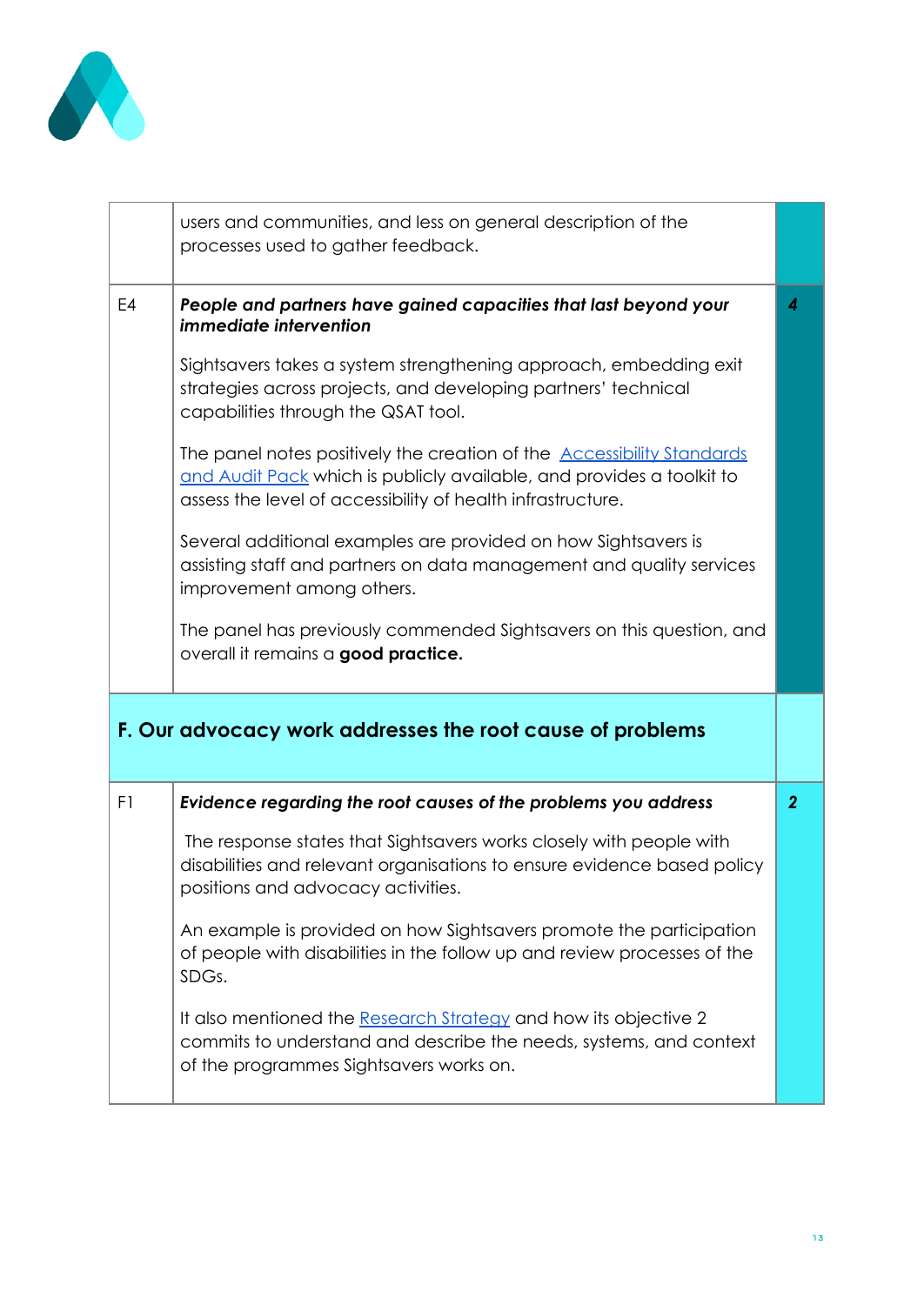

|                | users and communities, and less on general description of the<br>processes used to gather feedback.                                                                                                                                                                                                                                                                                                                                                                                                                                                                                                                                                                                                                                                     |                  |
|----------------|---------------------------------------------------------------------------------------------------------------------------------------------------------------------------------------------------------------------------------------------------------------------------------------------------------------------------------------------------------------------------------------------------------------------------------------------------------------------------------------------------------------------------------------------------------------------------------------------------------------------------------------------------------------------------------------------------------------------------------------------------------|------------------|
| E <sub>4</sub> | People and partners have gained capacities that last beyond your<br><i>immediate intervention</i><br>Sightsavers takes a system strengthening approach, embedding exit<br>strategies across projects, and developing partners' technical<br>capabilities through the QSAT tool.<br>The panel notes positively the creation of the <b>Accessibility Standards</b><br>and Audit Pack which is publicly available, and provides a toolkit to<br>assess the level of accessibility of health infrastructure.<br>Several additional examples are provided on how Sightsavers is<br>assisting staff and partners on data management and quality services<br>improvement among others.<br>The panel has previously commended Sightsavers on this question, and | $\boldsymbol{4}$ |
|                | overall it remains a good practice.<br>F. Our advocacy work addresses the root cause of problems                                                                                                                                                                                                                                                                                                                                                                                                                                                                                                                                                                                                                                                        |                  |
|                |                                                                                                                                                                                                                                                                                                                                                                                                                                                                                                                                                                                                                                                                                                                                                         |                  |
| F1             | Evidence regarding the root causes of the problems you address                                                                                                                                                                                                                                                                                                                                                                                                                                                                                                                                                                                                                                                                                          | $\overline{2}$   |
|                | The response states that Sightsavers works closely with people with<br>disabilities and relevant organisations to ensure evidence based policy<br>positions and advocacy activities.                                                                                                                                                                                                                                                                                                                                                                                                                                                                                                                                                                    |                  |
|                | An example is provided on how Sightsavers promote the participation<br>of people with disabilities in the follow up and review processes of the<br>SDGs.                                                                                                                                                                                                                                                                                                                                                                                                                                                                                                                                                                                                |                  |
|                | It also mentioned the Research Strategy and how its objective 2<br>commits to understand and describe the needs, systems, and context<br>of the programmes Sightsavers works on.                                                                                                                                                                                                                                                                                                                                                                                                                                                                                                                                                                        |                  |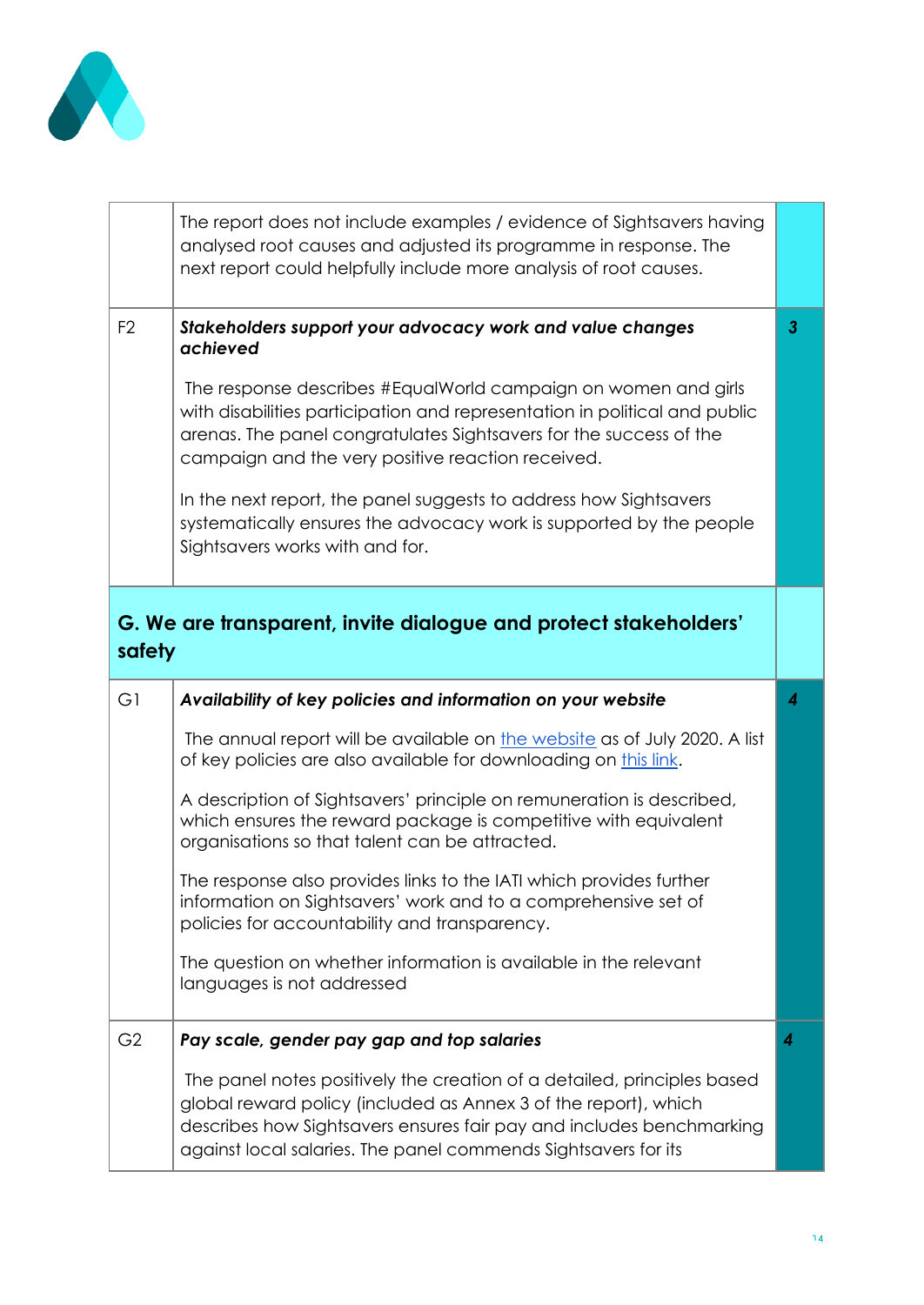

|                | The report does not include examples / evidence of Sightsavers having<br>analysed root causes and adjusted its programme in response. The<br>next report could helpfully include more analysis of root causes.                                                                                                                                                                                                                                                                                                                  |   |
|----------------|---------------------------------------------------------------------------------------------------------------------------------------------------------------------------------------------------------------------------------------------------------------------------------------------------------------------------------------------------------------------------------------------------------------------------------------------------------------------------------------------------------------------------------|---|
| F <sub>2</sub> | Stakeholders support your advocacy work and value changes<br>achieved<br>The response describes #EqualWorld campaign on women and girls<br>with disabilities participation and representation in political and public<br>arenas. The panel congratulates Sightsavers for the success of the<br>campaign and the very positive reaction received.<br>In the next report, the panel suggests to address how Sightsavers<br>systematically ensures the advocacy work is supported by the people<br>Sightsavers works with and for. | 3 |
| safety         | G. We are transparent, invite dialogue and protect stakeholders'                                                                                                                                                                                                                                                                                                                                                                                                                                                                |   |
| G1             | Availability of key policies and information on your website                                                                                                                                                                                                                                                                                                                                                                                                                                                                    | 4 |
|                | The annual report will be available on the website as of July 2020. A list<br>of key policies are also available for downloading on this link.                                                                                                                                                                                                                                                                                                                                                                                  |   |
|                | A description of Sightsavers' principle on remuneration is described,<br>which ensures the reward package is competitive with equivalent<br>organisations so that talent can be attracted.                                                                                                                                                                                                                                                                                                                                      |   |
|                | The response also provides links to the IATI which provides further                                                                                                                                                                                                                                                                                                                                                                                                                                                             |   |
|                | information on Sightsavers' work and to a comprehensive set of<br>policies for accountability and transparency.                                                                                                                                                                                                                                                                                                                                                                                                                 |   |
|                | The question on whether information is available in the relevant<br>languages is not addressed                                                                                                                                                                                                                                                                                                                                                                                                                                  |   |
| G <sub>2</sub> | Pay scale, gender pay gap and top salaries                                                                                                                                                                                                                                                                                                                                                                                                                                                                                      | 4 |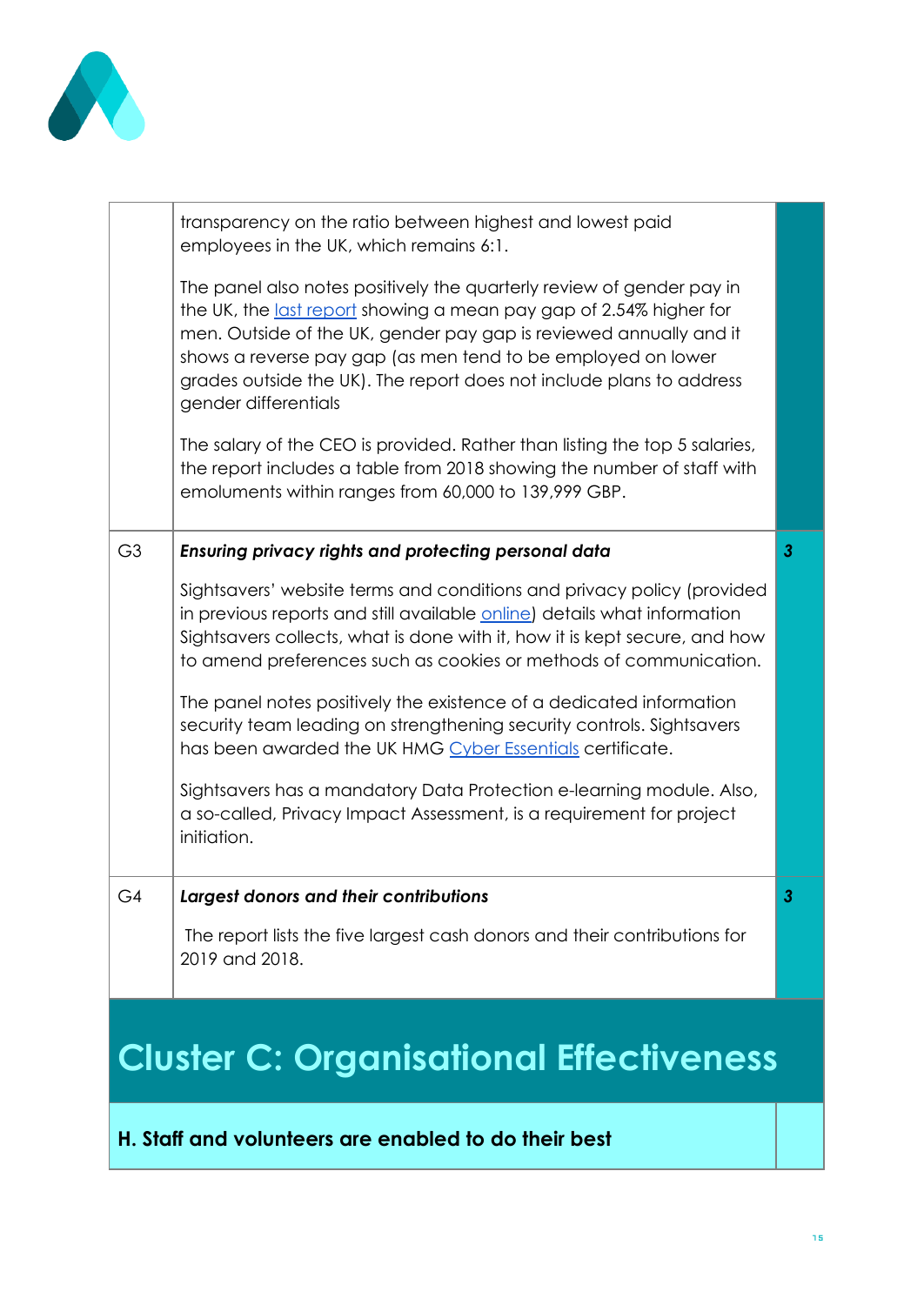

|                                                | transparency on the ratio between highest and lowest paid<br>employees in the UK, which remains 6:1.                                                                                                                                                                                                                                                                              |              |
|------------------------------------------------|-----------------------------------------------------------------------------------------------------------------------------------------------------------------------------------------------------------------------------------------------------------------------------------------------------------------------------------------------------------------------------------|--------------|
|                                                | The panel also notes positively the quarterly review of gender pay in<br>the UK, the last report showing a mean pay gap of 2.54% higher for<br>men. Outside of the UK, gender pay gap is reviewed annually and it<br>shows a reverse pay gap (as men tend to be employed on lower<br>grades outside the UK). The report does not include plans to address<br>gender differentials |              |
|                                                | The salary of the CEO is provided. Rather than listing the top 5 salaries,<br>the report includes a table from 2018 showing the number of staff with<br>emoluments within ranges from 60,000 to 139,999 GBP.                                                                                                                                                                      |              |
| G <sub>3</sub>                                 | Ensuring privacy rights and protecting personal data                                                                                                                                                                                                                                                                                                                              | $\mathbf{3}$ |
|                                                | Sightsavers' website terms and conditions and privacy policy (provided<br>in previous reports and still available online) details what information<br>Sightsavers collects, what is done with it, how it is kept secure, and how<br>to amend preferences such as cookies or methods of communication.                                                                             |              |
|                                                | The panel notes positively the existence of a dedicated information<br>security team leading on strengthening security controls. Sightsavers<br>has been awarded the UK HMG Cyber Essentials certificate.                                                                                                                                                                         |              |
|                                                | Sightsavers has a mandatory Data Protection e-learning module. Also,<br>a so-called, Privacy Impact Assessment, is a requirement for project<br>initiation.                                                                                                                                                                                                                       |              |
| G4                                             | Largest donors and their contributions                                                                                                                                                                                                                                                                                                                                            | J            |
|                                                | The report lists the five largest cash donors and their contributions for<br>2019 and 2018.                                                                                                                                                                                                                                                                                       |              |
| <b>Cluster C: Organisational Effectiveness</b> |                                                                                                                                                                                                                                                                                                                                                                                   |              |

### **H. Staff and volunteers are enabled to do their best**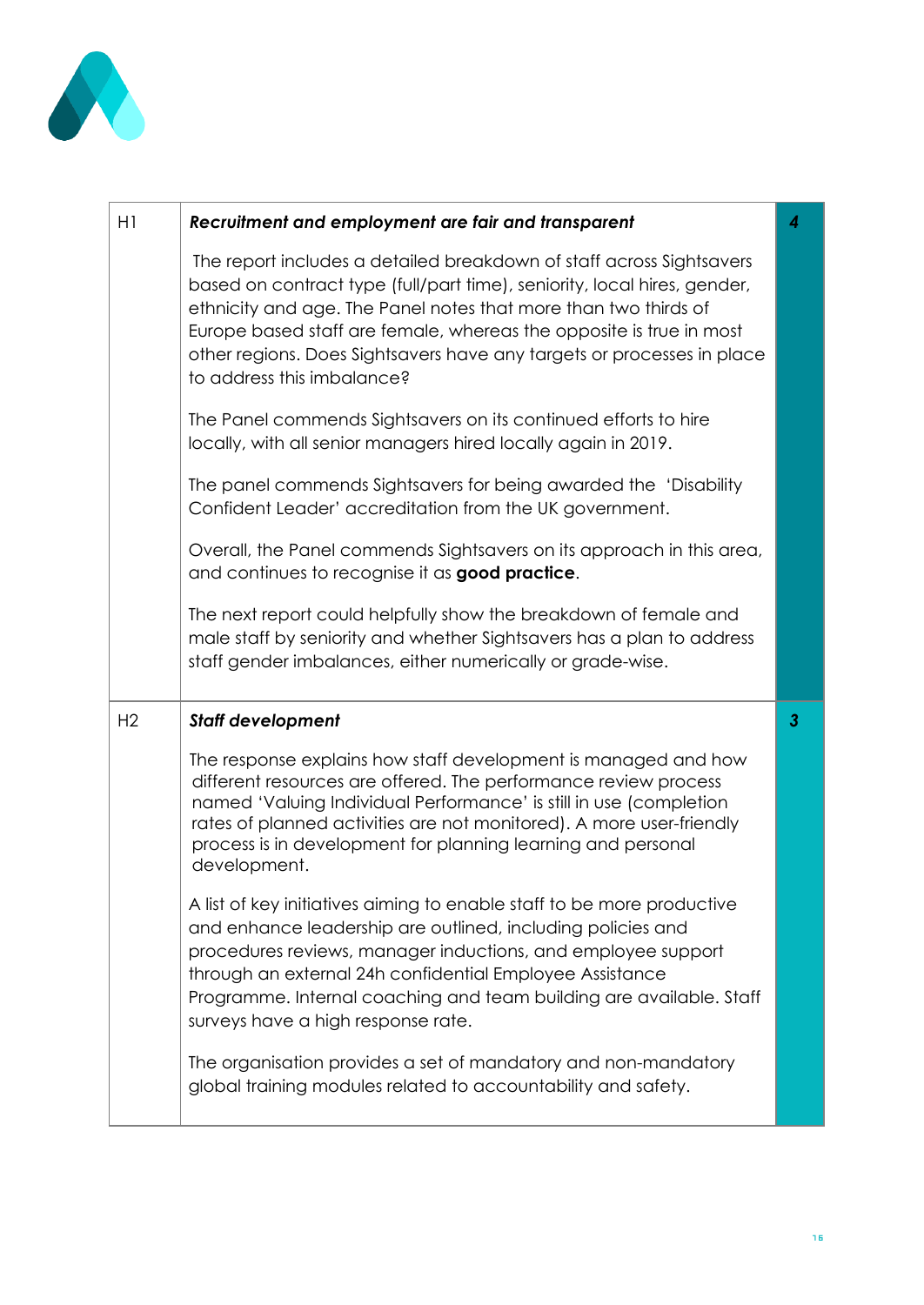

| H1             | Recruitment and employment are fair and transparent                                                                                                                                                                                                                                                                                                                                                | 4            |
|----------------|----------------------------------------------------------------------------------------------------------------------------------------------------------------------------------------------------------------------------------------------------------------------------------------------------------------------------------------------------------------------------------------------------|--------------|
|                | The report includes a detailed breakdown of staff across Sightsavers<br>based on contract type (full/part time), seniority, local hires, gender,<br>ethnicity and age. The Panel notes that more than two thirds of<br>Europe based staff are female, whereas the opposite is true in most<br>other regions. Does Sightsavers have any targets or processes in place<br>to address this imbalance? |              |
|                | The Panel commends Sightsavers on its continued efforts to hire<br>locally, with all senior managers hired locally again in 2019.                                                                                                                                                                                                                                                                  |              |
|                | The panel commends Sightsavers for being awarded the 'Disability<br>Confident Leader' accreditation from the UK government.                                                                                                                                                                                                                                                                        |              |
|                | Overall, the Panel commends Sightsavers on its approach in this area,<br>and continues to recognise it as good practice.                                                                                                                                                                                                                                                                           |              |
|                | The next report could helpfully show the breakdown of female and<br>male staff by seniority and whether Sightsavers has a plan to address<br>staff gender imbalances, either numerically or grade-wise.                                                                                                                                                                                            |              |
|                |                                                                                                                                                                                                                                                                                                                                                                                                    |              |
| H <sub>2</sub> | <b>Staff development</b>                                                                                                                                                                                                                                                                                                                                                                           | $\mathbf{3}$ |
|                | The response explains how staff development is managed and how<br>different resources are offered. The performance review process<br>named 'Valuing Individual Performance' is still in use (completion<br>rates of planned activities are not monitored). A more user-friendly<br>process is in development for planning learning and personal<br>development.                                    |              |
|                | A list of key initiatives aiming to enable staff to be more productive<br>and enhance leadership are outlined, including policies and<br>procedures reviews, manager inductions, and employee support<br>through an external 24h confidential Employee Assistance<br>Programme. Internal coaching and team building are available. Staff<br>surveys have a high response rate.                     |              |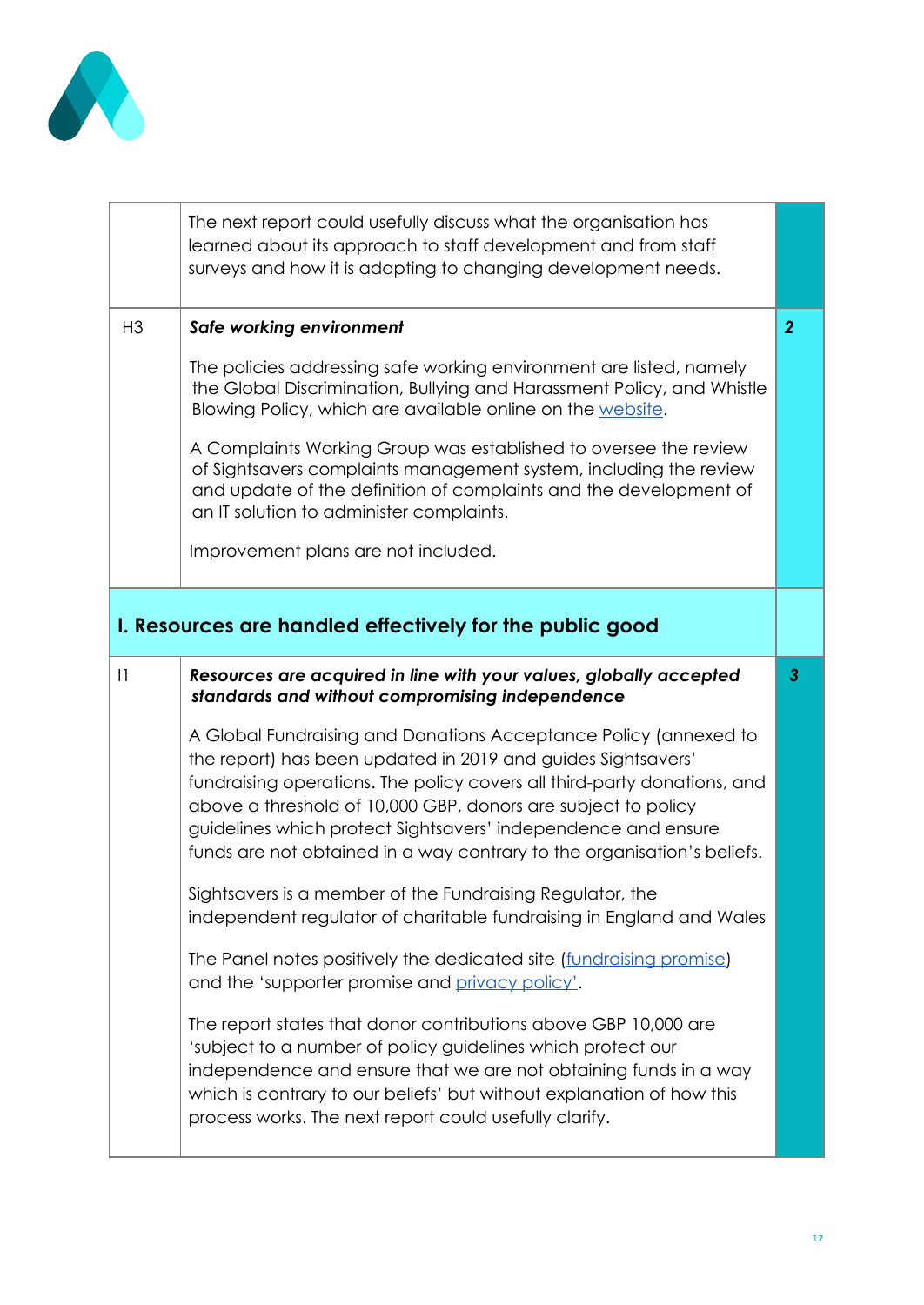

|                | The next report could usefully discuss what the organisation has<br>learned about its approach to staff development and from staff<br>surveys and how it is adapting to changing development needs.                                                                                                                                                                                                                       |                |
|----------------|---------------------------------------------------------------------------------------------------------------------------------------------------------------------------------------------------------------------------------------------------------------------------------------------------------------------------------------------------------------------------------------------------------------------------|----------------|
| H <sub>3</sub> | Safe working environment                                                                                                                                                                                                                                                                                                                                                                                                  | $\overline{2}$ |
|                | The policies addressing safe working environment are listed, namely<br>the Global Discrimination, Bullying and Harassment Policy, and Whistle<br>Blowing Policy, which are available online on the website.                                                                                                                                                                                                               |                |
|                | A Complaints Working Group was established to oversee the review<br>of Sightsavers complaints management system, including the review<br>and update of the definition of complaints and the development of<br>an IT solution to administer complaints.                                                                                                                                                                    |                |
|                | Improvement plans are not included.                                                                                                                                                                                                                                                                                                                                                                                       |                |
|                | I. Resources are handled effectively for the public good                                                                                                                                                                                                                                                                                                                                                                  |                |
|                |                                                                                                                                                                                                                                                                                                                                                                                                                           |                |
| 1              | Resources are acquired in line with your values, globally accepted<br>standards and without compromising independence                                                                                                                                                                                                                                                                                                     | 3              |
|                | A Global Fundraising and Donations Acceptance Policy (annexed to<br>the report) has been updated in 2019 and guides Sightsavers'<br>fundraising operations. The policy covers all third-party donations, and<br>above a threshold of 10,000 GBP, donors are subject to policy<br>guidelines which protect Sightsavers' independence and ensure<br>funds are not obtained in a way contrary to the organisation's beliefs. |                |
|                | Sightsavers is a member of the Fundraising Regulator, the<br>independent regulator of charitable fundraising in England and Wales                                                                                                                                                                                                                                                                                         |                |
|                | The Panel notes positively the dedicated site (fundraising promise)<br>and the 'supporter promise and privacy policy'.                                                                                                                                                                                                                                                                                                    |                |
|                | The report states that donor contributions above GBP 10,000 are<br>'subject to a number of policy guidelines which protect our<br>independence and ensure that we are not obtaining funds in a way<br>which is contrary to our beliefs' but without explanation of how this<br>process works. The next report could usefully clarify.                                                                                     |                |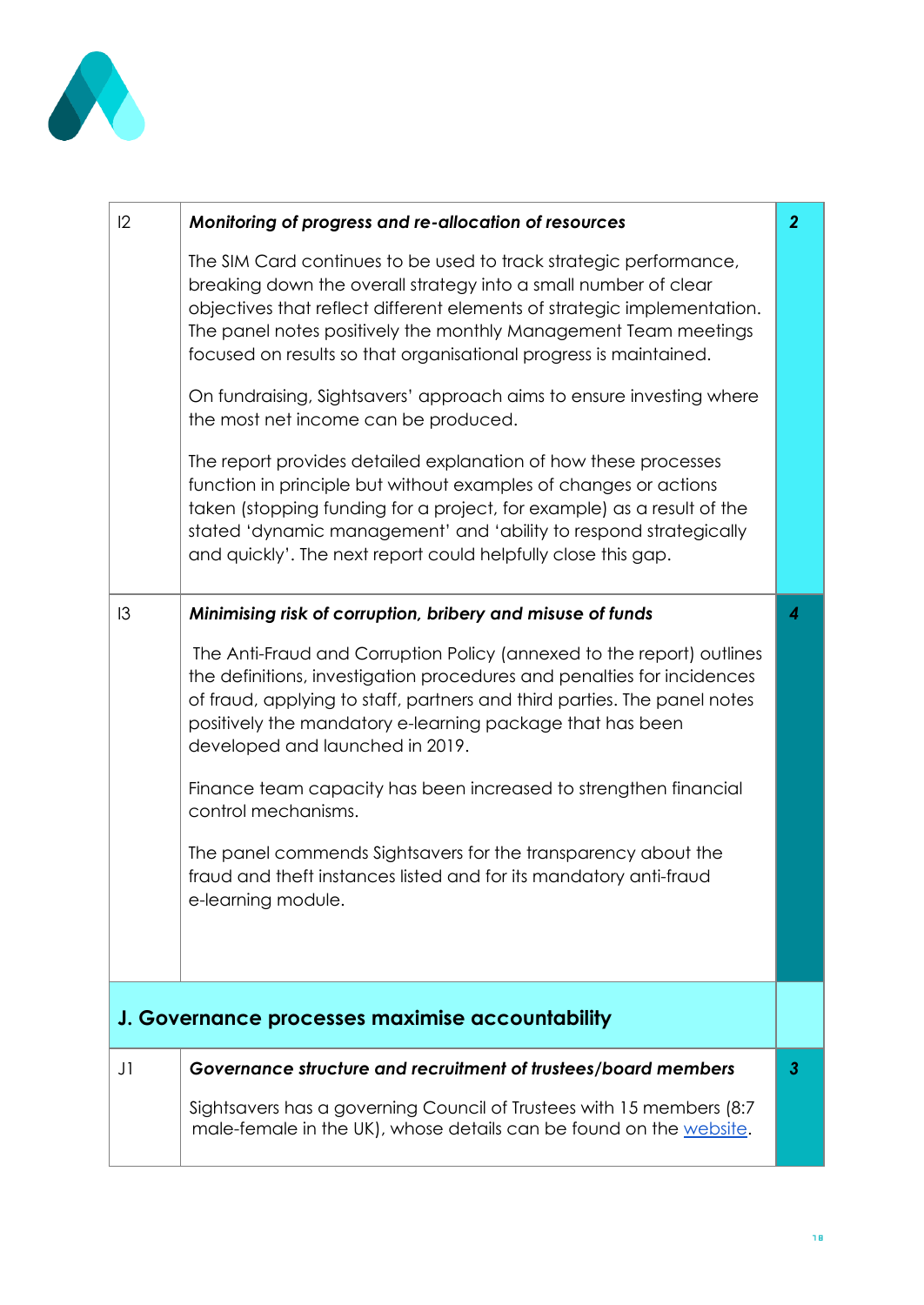

| Monitoring of progress and re-allocation of resources                                                                                                                                                                                                                                                                                                   | $\overline{2}$                                  |
|---------------------------------------------------------------------------------------------------------------------------------------------------------------------------------------------------------------------------------------------------------------------------------------------------------------------------------------------------------|-------------------------------------------------|
| The SIM Card continues to be used to track strategic performance,<br>breaking down the overall strategy into a small number of clear<br>objectives that reflect different elements of strategic implementation.<br>The panel notes positively the monthly Management Team meetings<br>focused on results so that organisational progress is maintained. |                                                 |
| On fundraising, Sightsavers' approach aims to ensure investing where<br>the most net income can be produced.                                                                                                                                                                                                                                            |                                                 |
| The report provides detailed explanation of how these processes<br>function in principle but without examples of changes or actions<br>taken (stopping funding for a project, for example) as a result of the<br>stated 'dynamic management' and 'ability to respond strategically<br>and quickly'. The next report could helpfully close this gap.     |                                                 |
| Minimising risk of corruption, bribery and misuse of funds                                                                                                                                                                                                                                                                                              | 4                                               |
| The Anti-Fraud and Corruption Policy (annexed to the report) outlines<br>the definitions, investigation procedures and penalties for incidences<br>of fraud, applying to staff, partners and third parties. The panel notes<br>positively the mandatory e-learning package that has been<br>developed and launched in 2019.                             |                                                 |
| Finance team capacity has been increased to strengthen financial<br>control mechanisms.                                                                                                                                                                                                                                                                 |                                                 |
| The panel commends Sightsavers for the transparency about the<br>fraud and theft instances listed and for its mandatory anti-fraud<br>e-learning module.                                                                                                                                                                                                |                                                 |
|                                                                                                                                                                                                                                                                                                                                                         |                                                 |
| Governance structure and recruitment of trustees/board members                                                                                                                                                                                                                                                                                          | 3                                               |
| Sightsavers has a governing Council of Trustees with 15 members (8:7)<br>male-female in the UK), whose details can be found on the website.                                                                                                                                                                                                             |                                                 |
|                                                                                                                                                                                                                                                                                                                                                         | J. Governance processes maximise accountability |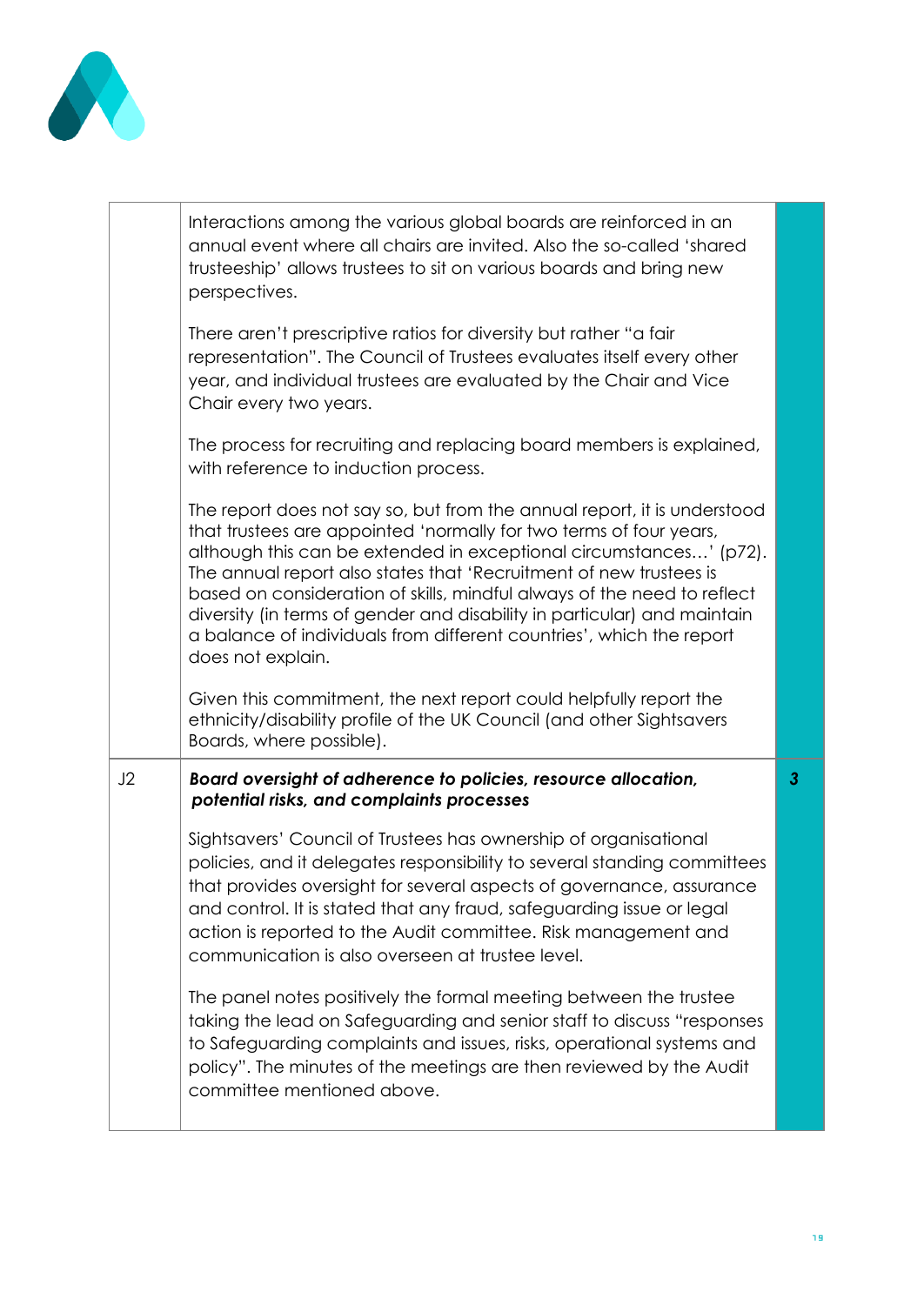

|    | Interactions among the various global boards are reinforced in an<br>annual event where all chairs are invited. Also the so-called 'shared<br>trusteeship' allows trustees to sit on various boards and bring new<br>perspectives.                                                                                                                                                                                                                                                                                                             |                |
|----|------------------------------------------------------------------------------------------------------------------------------------------------------------------------------------------------------------------------------------------------------------------------------------------------------------------------------------------------------------------------------------------------------------------------------------------------------------------------------------------------------------------------------------------------|----------------|
|    | There aren't prescriptive ratios for diversity but rather "a fair<br>representation". The Council of Trustees evaluates itself every other<br>year, and individual trustees are evaluated by the Chair and Vice<br>Chair every two years.                                                                                                                                                                                                                                                                                                      |                |
|    | The process for recruiting and replacing board members is explained,<br>with reference to induction process.                                                                                                                                                                                                                                                                                                                                                                                                                                   |                |
|    | The report does not say so, but from the annual report, it is understood<br>that trustees are appointed 'normally for two terms of four years,<br>although this can be extended in exceptional circumstances' (p72).<br>The annual report also states that 'Recruitment of new trustees is<br>based on consideration of skills, mindful always of the need to reflect<br>diversity (in terms of gender and disability in particular) and maintain<br>a balance of individuals from different countries', which the report<br>does not explain. |                |
|    | Given this commitment, the next report could helpfully report the<br>ethnicity/disability profile of the UK Council (and other Sightsavers<br>Boards, where possible).                                                                                                                                                                                                                                                                                                                                                                         |                |
| J2 | Board oversight of adherence to policies, resource allocation,<br>potential risks, and complaints processes                                                                                                                                                                                                                                                                                                                                                                                                                                    | 3 <sup>1</sup> |
|    | Sightsavers' Council of Trustees has ownership of organisational<br>policies, and it delegates responsibility to several standing committees<br>that provides oversight for several aspects of governance, assurance<br>and control. It is stated that any fraud, safeguarding issue or legal<br>action is reported to the Audit committee. Risk management and<br>communication is also overseen at trustee level.                                                                                                                            |                |
|    | The panel notes positively the formal meeting between the trustee<br>taking the lead on Safeguarding and senior staff to discuss "responses<br>to Safeguarding complaints and issues, risks, operational systems and<br>policy". The minutes of the meetings are then reviewed by the Audit<br>committee mentioned above.                                                                                                                                                                                                                      |                |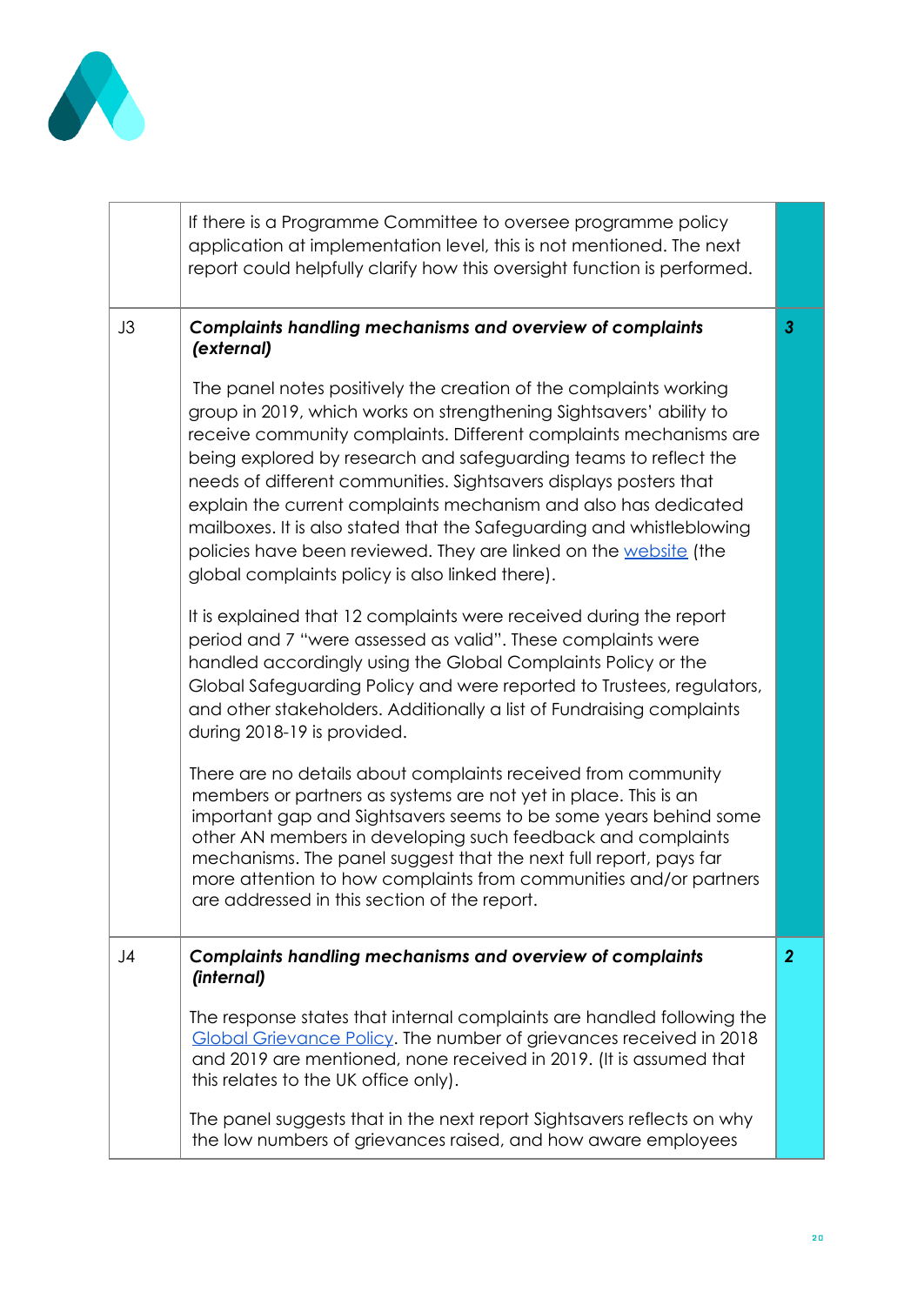

| If there is a Programme Committee to oversee programme policy<br>application at implementation level, this is not mentioned. The next<br>report could helpfully clarify how this oversight function is performed.                                                                                                                                                                                                                                                                                                                                                                                                                                        |                                                                                                                  |
|----------------------------------------------------------------------------------------------------------------------------------------------------------------------------------------------------------------------------------------------------------------------------------------------------------------------------------------------------------------------------------------------------------------------------------------------------------------------------------------------------------------------------------------------------------------------------------------------------------------------------------------------------------|------------------------------------------------------------------------------------------------------------------|
| <b>Complaints handling mechanisms and overview of complaints</b><br>(external)<br>The panel notes positively the creation of the complaints working<br>group in 2019, which works on strengthening Sightsavers' ability to<br>receive community complaints. Different complaints mechanisms are<br>being explored by research and safeguarding teams to reflect the<br>needs of different communities. Sightsavers displays posters that<br>explain the current complaints mechanism and also has dedicated<br>mailboxes. It is also stated that the Safeguarding and whistleblowing<br>policies have been reviewed. They are linked on the website (the | 3                                                                                                                |
| It is explained that 12 complaints were received during the report<br>period and 7 "were assessed as valid". These complaints were<br>handled accordingly using the Global Complaints Policy or the<br>Global Safeguarding Policy and were reported to Trustees, regulators,<br>and other stakeholders. Additionally a list of Fundraising complaints<br>during 2018-19 is provided.                                                                                                                                                                                                                                                                     |                                                                                                                  |
| There are no details about complaints received from community<br>members or partners as systems are not yet in place. This is an<br>important gap and Sightsavers seems to be some years behind some<br>other AN members in developing such feedback and complaints<br>mechanisms. The panel suggest that the next full report, pays far<br>more attention to how complaints from communities and/or partners<br>are addressed in this section of the report.                                                                                                                                                                                            |                                                                                                                  |
| <b>Complaints handling mechanisms and overview of complaints</b><br>(internal)<br>The response states that internal complaints are handled following the<br>Global Grievance Policy. The number of grievances received in 2018<br>and 2019 are mentioned, none received in 2019. (It is assumed that<br>this relates to the UK office only).<br>The panel suggests that in the next report Sightsavers reflects on why                                                                                                                                                                                                                                   | $\overline{2}$                                                                                                   |
|                                                                                                                                                                                                                                                                                                                                                                                                                                                                                                                                                                                                                                                          | global complaints policy is also linked there).<br>the low numbers of grievances raised, and how aware employees |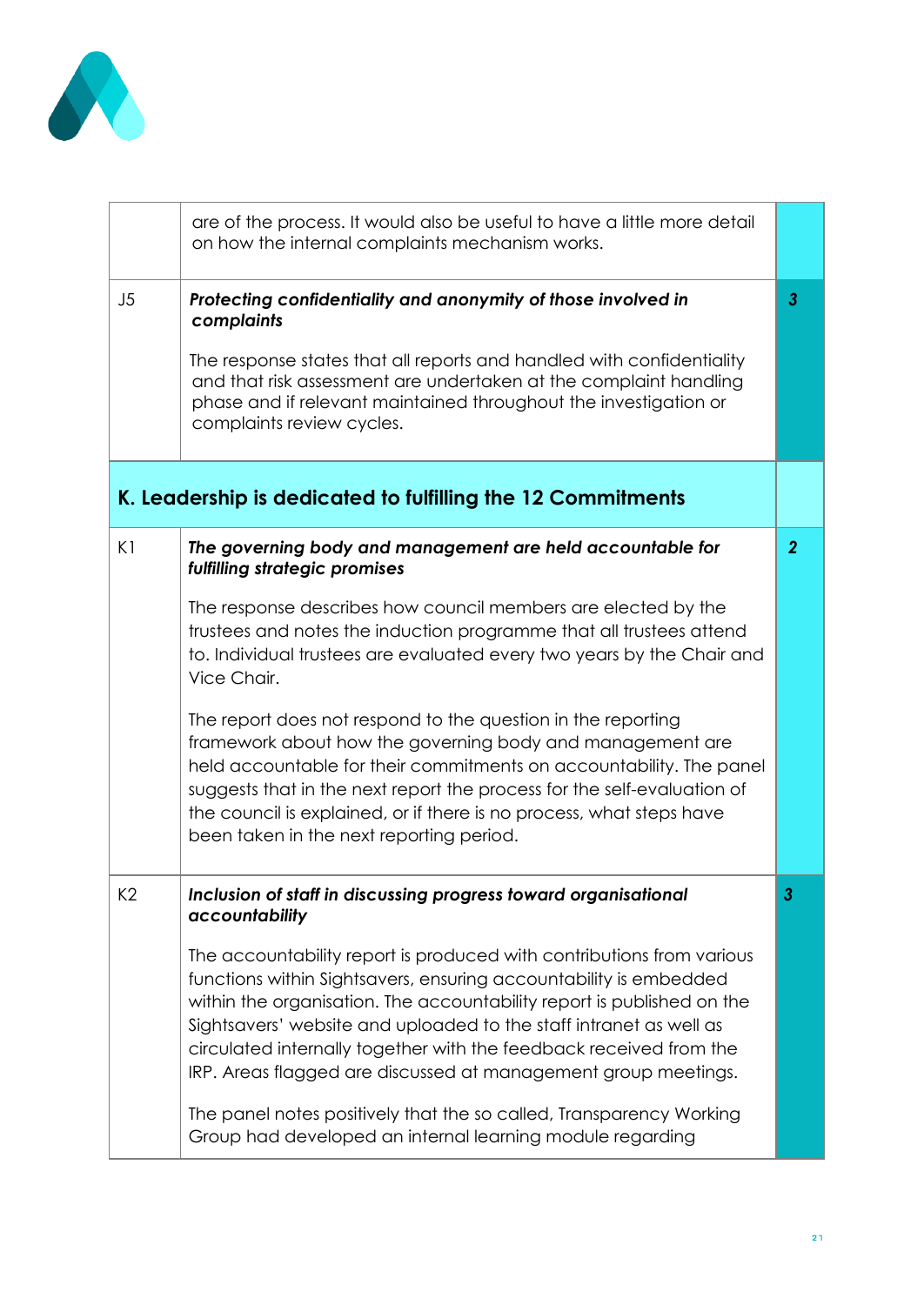

|    | are of the process. It would also be useful to have a little more detail<br>on how the internal complaints mechanism works.                                                                                                                                                                                                                                                                                                                                                                                                                                                                                                                                                                                                     |                |
|----|---------------------------------------------------------------------------------------------------------------------------------------------------------------------------------------------------------------------------------------------------------------------------------------------------------------------------------------------------------------------------------------------------------------------------------------------------------------------------------------------------------------------------------------------------------------------------------------------------------------------------------------------------------------------------------------------------------------------------------|----------------|
| J5 | Protecting confidentiality and anonymity of those involved in<br>complaints<br>The response states that all reports and handled with confidentiality<br>and that risk assessment are undertaken at the complaint handling<br>phase and if relevant maintained throughout the investigation or<br>complaints review cycles.                                                                                                                                                                                                                                                                                                                                                                                                      | $\mathbf{3}$   |
|    | K. Leadership is dedicated to fulfilling the 12 Commitments                                                                                                                                                                                                                                                                                                                                                                                                                                                                                                                                                                                                                                                                     |                |
| K1 | The governing body and management are held accountable for<br>fulfilling strategic promises<br>The response describes how council members are elected by the<br>trustees and notes the induction programme that all trustees attend<br>to. Individual trustees are evaluated every two years by the Chair and<br>Vice Chair.<br>The report does not respond to the question in the reporting<br>framework about how the governing body and management are<br>held accountable for their commitments on accountability. The panel<br>suggests that in the next report the process for the self-evaluation of<br>the council is explained, or if there is no process, what steps have<br>been taken in the next reporting period. | $\overline{2}$ |
| K2 | Inclusion of staff in discussing progress toward organisational<br>accountability<br>The accountability report is produced with contributions from various<br>functions within Sightsavers, ensuring accountability is embedded<br>within the organisation. The accountability report is published on the<br>Sightsavers' website and uploaded to the staff intranet as well as<br>circulated internally together with the feedback received from the<br>IRP. Areas flagged are discussed at management group meetings.<br>The panel notes positively that the so called, Transparency Working<br>Group had developed an internal learning module regarding                                                                     |                |